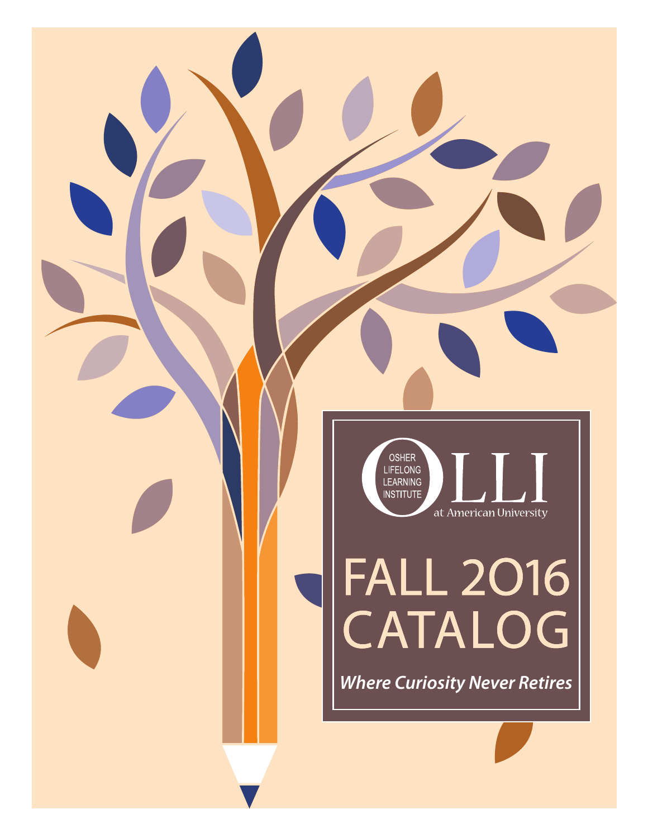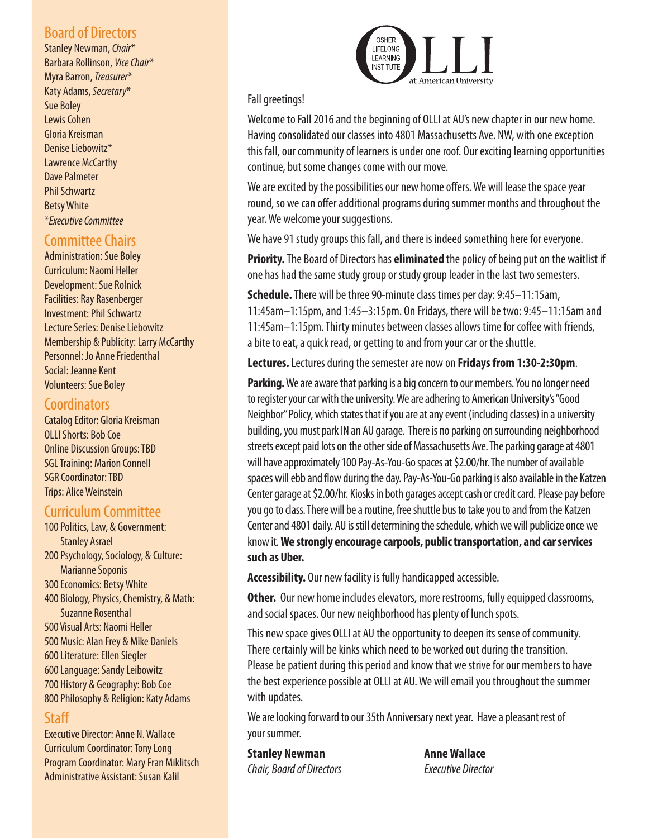### Board of Directors

Stanley Newman, *Chair*\* Barbara Rollinson, *Vice Chair*\* Myra Barron, *Treasurer*\* Katy Adams, *Secretary*\* Sue Boley Lewis Cohen Gloria Kreisman Denise Liebowitz\* Lawrence McCarthy Dave Palmeter Phil Schwartz Betsy White \**Executive Committee*

### Committee Chairs

Administration: Sue Boley Curriculum: Naomi Heller Development: Sue Rolnick Facilities: Ray Rasenberger Investment: Phil Schwartz Lecture Series: Denise Liebowitz Membership & Publicity: Larry McCarthy Personnel: Jo Anne Friedenthal Social: Jeanne Kent Volunteers: Sue Boley

#### **Coordinators**

Catalog Editor: Gloria Kreisman OLLI Shorts: Bob Coe Online Discussion Groups: TBD SGL Training: Marion Connell SGR Coordinator: TBD Trips: Alice Weinstein

#### Curriculum Committee

100 Politics, Law, & Government: Stanley Asrael 200 Psychology, Sociology, & Culture: Marianne Soponis 300 Economics: Betsy White 400 Biology, Physics, Chemistry, & Math: Suzanne Rosenthal 500 Visual Arts: Naomi Heller 500 Music: Alan Frey & Mike Daniels 600 Literature: Ellen Siegler 600 Language: Sandy Leibowitz 700 History & Geography: Bob Coe 800 Philosophy & Religion: Katy Adams

#### **Staff**

Executive Director: Anne N. Wallace Curriculum Coordinator: Tony Long Program Coordinator: Mary Fran Miklitsch Administrative Assistant: Susan Kalil



Fall greetings!

Welcome to Fall 2016 and the beginning of OLLI at AU's new chapter in our new home. Having consolidated our classes into 4801 Massachusetts Ave. NW, with one exception this fall, our community of learners is under one roof. Our exciting learning opportunities continue, but some changes come with our move.

We are excited by the possibilities our new home offers. We will lease the space year round, so we can offer additional programs during summer months and throughout the year. We welcome your suggestions.

We have 91 study groups this fall, and there is indeed something here for everyone.

**Priority.** The Board of Directors has **eliminated** the policy of being put on the waitlist if one has had the same study group or study group leader in the last two semesters.

**Schedule.** There will be three 90-minute class times per day: 9:45–11:15am, 11:45am–1:15pm, and 1:45–3:15pm. On Fridays, there will be two: 9:45–11:15am and 11:45am–1:15pm. Thirty minutes between classes allows time for coffee with friends, a bite to eat, a quick read, or getting to and from your car or the shuttle.

**Lectures.** Lectures during the semester are now on **Fridays from 1:30-2:30pm**.

**Parking.** We are aware that parking is a big concern to our members. You no longer need to register your car with the university. We are adhering to American University's "Good Neighbor" Policy, which states that if you are at any event (including classes) in a university building, you must park IN an AU garage. There is no parking on surrounding neighborhood streets except paid lots on the other side of Massachusetts Ave. The parking garage at 4801 will have approximately 100 Pay-As-You-Go spaces at \$2.00/hr. The number of available spaces will ebb and flow during the day. Pay-As-You-Go parking is also available in the Katzen Center garage at \$2.00/hr. Kiosks in both garages accept cash or credit card. Please pay before you go to class. There will be a routine, free shuttle bus to take you to and from the Katzen Center and 4801 daily. AU is still determining the schedule, which we will publicize once we know it. **We strongly encourage carpools, public transportation, and car services such as Uber.** 

**Accessibility.** Our new facility is fully handicapped accessible.

**Other.** Our new home includes elevators, more restrooms, fully equipped classrooms, and social spaces. Our new neighborhood has plenty of lunch spots.

This new space gives OLLI at AU the opportunity to deepen its sense of community. There certainly will be kinks which need to be worked out during the transition. Please be patient during this period and know that we strive for our members to have the best experience possible at OLLI at AU. We will email you throughout the summer with updates.

We are looking forward to our 35th Anniversary next year. Have a pleasant rest of your summer.

**Stanley Newman Anne Wallace** *Chair, Board of Directors Executive Director*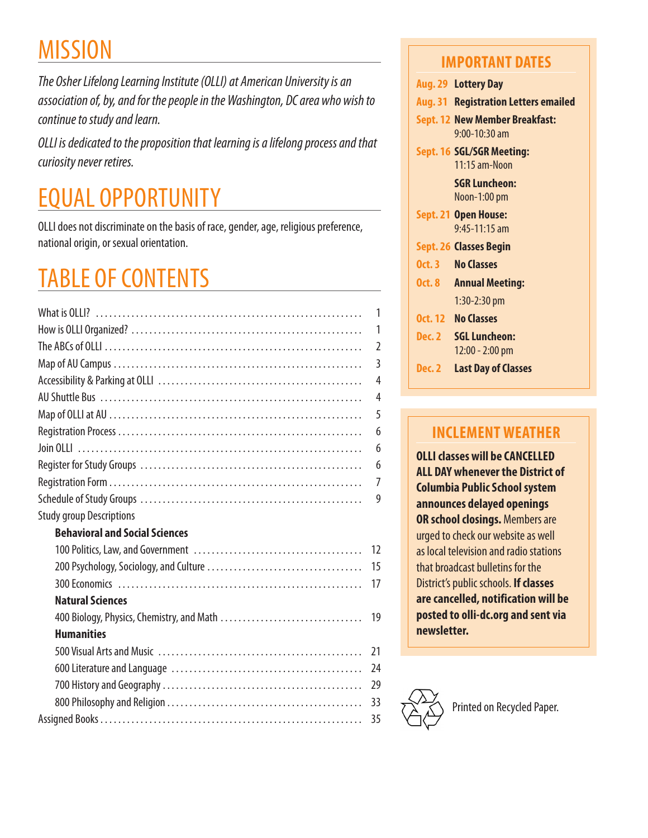# **MISSION**

*The Osher Lifelong Learning Institute (OLLI) at American University is an association of, by, and for the people in the Washington, DC area who wish to continue to study and learn.*

*OLLI is dedicated to the proposition that learning is a lifelong process and that curiosity never retires.*

# EQUAL OPPORTUNITY

OLLI does not discriminate on the basis of race, gender, age, religious preference, national origin, or sexual orientation.

# TABLE OF CONTENTS

|                                       | 1              |
|---------------------------------------|----------------|
|                                       | 1              |
|                                       | $\overline{2}$ |
|                                       | $\overline{3}$ |
|                                       | $\overline{4}$ |
|                                       | $\overline{4}$ |
|                                       | 5              |
|                                       | 6              |
|                                       | 6              |
|                                       | 6              |
|                                       | 7              |
|                                       | 9              |
| <b>Study group Descriptions</b>       |                |
| <b>Behavioral and Social Sciences</b> |                |
|                                       |                |
|                                       | 15             |
|                                       | 17             |
| <b>Natural Sciences</b>               |                |
|                                       | 19             |
| <b>Humanities</b>                     |                |
|                                       | 21             |
|                                       | -24            |
|                                       | 29             |
|                                       | 33             |

Assigned Books . 35

### **IMPORTANT DATES**

**Aug. 29 Lottery Day**

- **Aug. 31 Registration Letters emailed**
- **Sept. 12 New Member Breakfast:** 9:00-10:30 am
- **Sept. 16 SGL/SGR Meeting:**  11:15 am-Noon

**SGR Luncheon:** Noon-1:00 pm

**Sept. 21 Open House:**  9:45-11:15 am

**Sept. 26 Classes Begin**

- **Oct. 3 No Classes**
- **Oct. 8 Annual Meeting:**  1:30-2:30 pm
- **Oct. 12 No Classes**
- **Dec. 2 SGL Luncheon:** 12:00 - 2:00 pm
- **Dec. 2 Last Day of Classes**

## **INCLEMENT WEATHER**

**OLLI classes will be CANCELLED ALL DAY whenever the District of Columbia Public School system announces delayed openings OR school closings.** Members are urged to check our website as well as local television and radio stations that broadcast bulletins for the District's public schools. **If classes are cancelled, notification will be posted to olli-dc.org and sent via newsletter.**



Printed on Recycled Paper.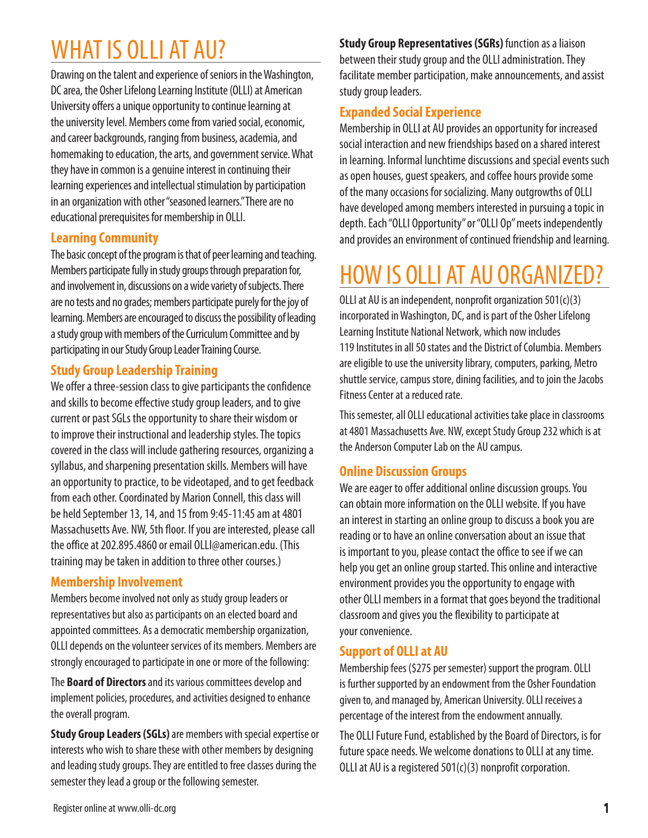# WHAT IS OLLI AT AU?

Drawing on the talent and experience of seniors in the Washington, DC area, the Osher Lifelong Learning Institute (OLLI) at American University offers a unique opportunity to continue learning at the university level. Members come from varied social, economic, and career backgrounds, ranging from business, academia, and homemaking to education, the arts, and government service. What they have in common is a genuine interest in continuing their learning experiences and intellectual stimulation by participation in an organization with other "seasoned learners." There are no educational prerequisites for membership in OLLI.

#### **Learning Community**

The basic concept of the program is that of peer learning and teaching. Members participate fully in study groups through preparation for, and involvement in, discussions on a wide variety of subjects. There are no tests and no grades; members participate purely for the joy of learning. Members are encouraged to discuss the possibility of leading a study group with members of the Curriculum Committee and by participating in our Study Group Leader Training Course.

#### **Study Group Leadership Training**

We offer a three-session class to give participants the confidence and skills to become effective study group leaders, and to give current or past SGLs the opportunity to share their wisdom or to improve their instructional and leadership styles. The topics covered in the class will include gathering resources, organizing a syllabus, and sharpening presentation skills. Members will have an opportunity to practice, to be videotaped, and to get feedback from each other. Coordinated by Marion Connell, this class will be held September 13, 14, and 15 from 9:45-11:45 am at 4801 Massachusetts Ave. NW, 5th floor. If you are interested, please call the office at 202.895.4860 or email OLLI@american.edu. (This training may be taken in addition to three other courses.)

#### **Membership Involvement**

Members become involved not only as study group leaders or representatives but also as participants on an elected board and appointed committees. As a democratic membership organization, OLLI depends on the volunteer services of its members. Members are strongly encouraged to participate in one or more of the following:

The **Board of Directors** and its various committees develop and implement policies, procedures, and activities designed to enhance the overall program.

**Study Group Leaders (SGLs)** are members with special expertise or interests who wish to share these with other members by designing and leading study groups. They are entitled to free classes during the semester they lead a group or the following semester.

**Study Group Representatives (SGRs)** function as a liaison between their study group and the OLLI administration. They facilitate member participation, make announcements, and assist study group leaders.

#### **Expanded Social Experience**

Membership in OLLI at AU provides an opportunity for increased social interaction and new friendships based on a shared interest in learning. Informal lunchtime discussions and special events such as open houses, guest speakers, and coffee hours provide some of the many occasions for socializing. Many outgrowths of OLLI have developed among members interested in pursuing a topic in depth. Each "OLLI Opportunity" or "OLLI Op" meets independently and provides an environment of continued friendship and learning.

# HOW IS OLLI AT AU ORGANIZED?

OLLI at AU is an independent, nonprofit organization 501(c)(3) incorporated in Washington, DC, and is part of the Osher Lifelong Learning Institute National Network, which now includes 119 Institutes in all 50 states and the District of Columbia. Members are eligible to use the university library, computers, parking, Metro shuttle service, campus store, dining facilities, and to join the Jacobs Fitness Center at a reduced rate.

This semester, all OLLI educational activities take place in classrooms at 4801 Massachusetts Ave. NW, except Study Group 232 which is at the Anderson Computer Lab on the AU campus.

#### **Online Discussion Groups**

We are eager to offer additional online discussion groups. You can obtain more information on the OLLI website. If you have an interest in starting an online group to discuss a book you are reading or to have an online conversation about an issue that is important to you, please contact the office to see if we can help you get an online group started. This online and interactive environment provides you the opportunity to engage with other OLLI members in a format that goes beyond the traditional classroom and gives you the flexibility to participate at your convenience.

#### **Support of OLLI at AU**

Membership fees (\$275 per semester) support the program. OLLI is further supported by an endowment from the Osher Foundation given to, and managed by, American University. OLLI receives a percentage of the interest from the endowment annually.

The OLLI Future Fund, established by the Board of Directors, is for future space needs. We welcome donations to OLLI at any time. OLLI at AU is a registered 501(c)(3) nonprofit corporation.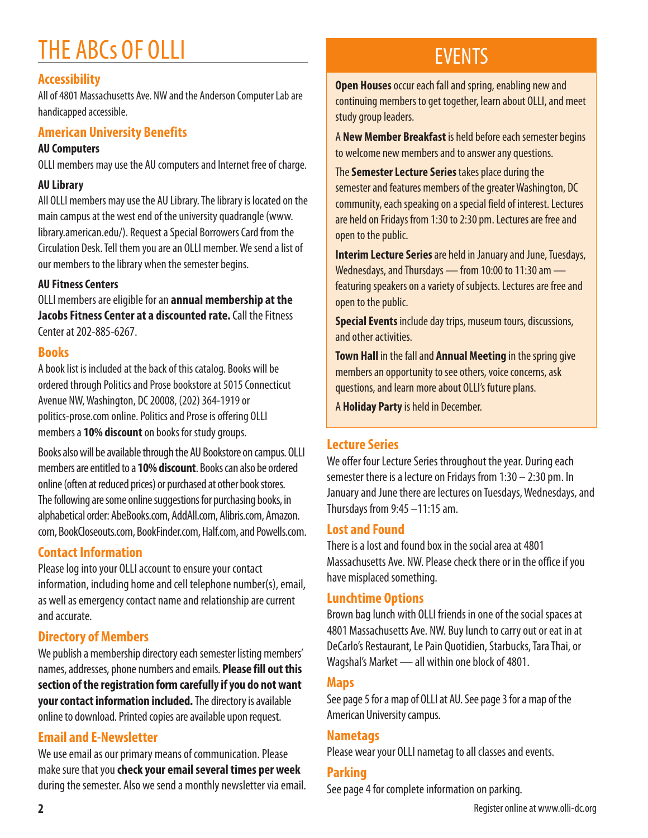# THE ABCs OF OLLI

#### **Accessibility**

All of 4801 Massachusetts Ave. NW and the Anderson Computer Lab are handicapped accessible.

#### **American University Benefits**

#### **AU Computers**

OLLI members may use the AU computers and Internet free of charge.

#### **AU Library**

All OLLI members may use the AU Library. The library is located on the main campus at the west end of the university quadrangle (www. library.american.edu/). Request a Special Borrowers Card from the Circulation Desk. Tell them you are an OLLI member. We send a list of our members to the library when the semester begins.

#### **AU Fitness Centers**

OLLI members are eligible for an **annual membership at the Jacobs Fitness Center at a discounted rate.** Call the Fitness Center at 202-885-6267.

#### **Books**

A book list is included at the back of this catalog. Books will be ordered through Politics and Prose bookstore at 5015 Connecticut Avenue NW, Washington, DC 20008, (202) 364-1919 or politics-prose.com online. Politics and Prose is offering OLLI members a **10% discount** on books for study groups.

Books also will be available through the AU Bookstore on campus. OLLI members are entitled to a **10% discount**. Books can also be ordered online (often at reduced prices) or purchased at other book stores. The following are some online suggestions for purchasing books, in alphabetical order: AbeBooks.com, AddAll.com, Alibris.com, Amazon. com, BookCloseouts.com, BookFinder.com, Half.com, and Powells.com.

### **Contact Information**

Please log into your OLLI account to ensure your contact information, including home and cell telephone number(s), email, as well as emergency contact name and relationship are current and accurate.

### **Directory of Members**

We publish a membership directory each semester listing members' names, addresses, phone numbers and emails. **Please fill out this section of the registration form carefully if you do not want your contact information included.** The directory is available online to download. Printed copies are available upon request.

#### **Email and E-Newsletter**

We use email as our primary means of communication. Please make sure that you **check your email several times per week** during the semester. Also we send a monthly newsletter via email.

# EVENTS

**Open Houses** occur each fall and spring, enabling new and continuing members to get together, learn about OLLI, and meet study group leaders.

A **New Member Breakfast** is held before each semester begins to welcome new members and to answer any questions.

The **Semester Lecture Series** takes place during the semester and features members of the greater Washington, DC community, each speaking on a special field of interest. Lectures are held on Fridays from 1:30 to 2:30 pm. Lectures are free and open to the public.

**Interim Lecture Series** are held in January and June, Tuesdays, Wednesdays, and Thursdays — from 10:00 to 11:30 am featuring speakers on a variety of subjects. Lectures are free and open to the public.

**Special Events** include day trips, museum tours, discussions, and other activities.

**Town Hall** in the fall and **Annual Meeting** in the spring give members an opportunity to see others, voice concerns, ask questions, and learn more about OLLI's future plans.

A **Holiday Party** is held in December.

### **Lecture Series**

We offer four Lecture Series throughout the year. During each semester there is a lecture on Fridays from 1:30 – 2:30 pm. In January and June there are lectures on Tuesdays, Wednesdays, and Thursdays from 9:45 –11:15 am.

#### **Lost and Found**

There is a lost and found box in the social area at 4801 Massachusetts Ave. NW. Please check there or in the office if you have misplaced something.

#### **Lunchtime Options**

Brown bag lunch with OLLI friends in one of the social spaces at 4801 Massachusetts Ave. NW. Buy lunch to carry out or eat in at DeCarlo's Restaurant, Le Pain Quotidien, Starbucks, Tara Thai, or Wagshal's Market — all within one block of 4801.

#### **Maps**

See page 5 for a map of OLLI at AU. See page 3 for a map of the American University campus.

#### **Nametags**

Please wear your OLLI nametag to all classes and events.

#### **Parking**

See page 4 for complete information on parking.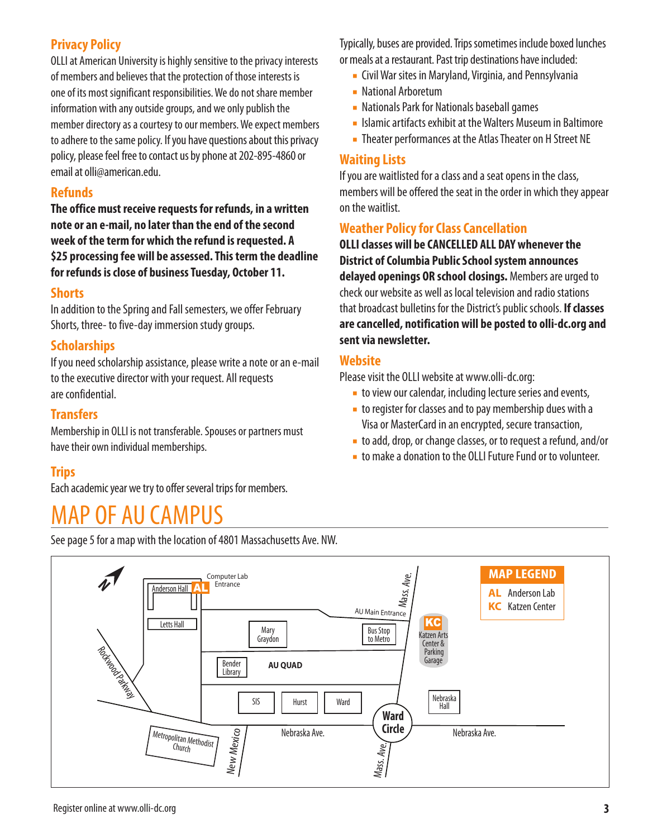#### **Privacy Policy**

OLLI at American University is highly sensitive to the privacy interests of members and believes that the protection of those interests is one of its most significant responsibilities. We do not share member information with any outside groups, and we only publish the member directory as a courtesy to our members. We expect members to adhere to the same policy. If you have questions about this privacy policy, please feel free to contact us by phone at 202-895-4860 or email at olli@american.edu.

#### **Refunds**

**The office must receive requests for refunds, in a written note or an e-mail, no later than the end of the second week of the term for which the refund is requested. A \$25 processing fee will be assessed. This term the deadline for refunds is close of business Tuesday, October 11.**

#### **Shorts**

In addition to the Spring and Fall semesters, we offer February Shorts, three- to five-day immersion study groups.

#### **Scholarships**

If you need scholarship assistance, please write a note or an e-mail to the executive director with your request. All requests are confidential.

#### **Transfers**

Membership in OLLI is not transferable. Spouses or partners must have their own individual memberships.

#### **Trips**

Each academic year we try to offer several trips for members.

# MAP OF AU CAMPUS

See page 5 for a map with the location of 4801 Massachusetts Ave. NW.

Typically, buses are provided. Trips sometimes include boxed lunches or meals at a restaurant. Past trip destinations have included:

- Civil War sites in Maryland, Virginia, and Pennsylvania
- National Arboretum
- Nationals Park for Nationals baseball games
- Islamic artifacts exhibit at the Walters Museum in Baltimore
- Theater performances at the Atlas Theater on H Street NE

#### **Waiting Lists**

If you are waitlisted for a class and a seat opens in the class, members will be offered the seat in the order in which they appear on the waitlist.

#### **Weather Policy for Class Cancellation**

**OLLI classes will be CANCELLED ALL DAY whenever the District of Columbia Public School system announces delayed openings OR school closings.** Members are urged to check our website as well as local television and radio stations that broadcast bulletins for the District's public schools. **If classes are cancelled, notification will be posted to olli-dc.org and sent via newsletter.**

#### **Website**

Please visit the OLLI website at www.olli-dc.org:

- to view our calendar, including lecture series and events,
- to register for classes and to pay membership dues with a Visa or MasterCard in an encrypted, secure transaction,
- to add, drop, or change classes, or to request a refund, and/or
- to make a donation to the OLLI Future Fund or to volunteer.

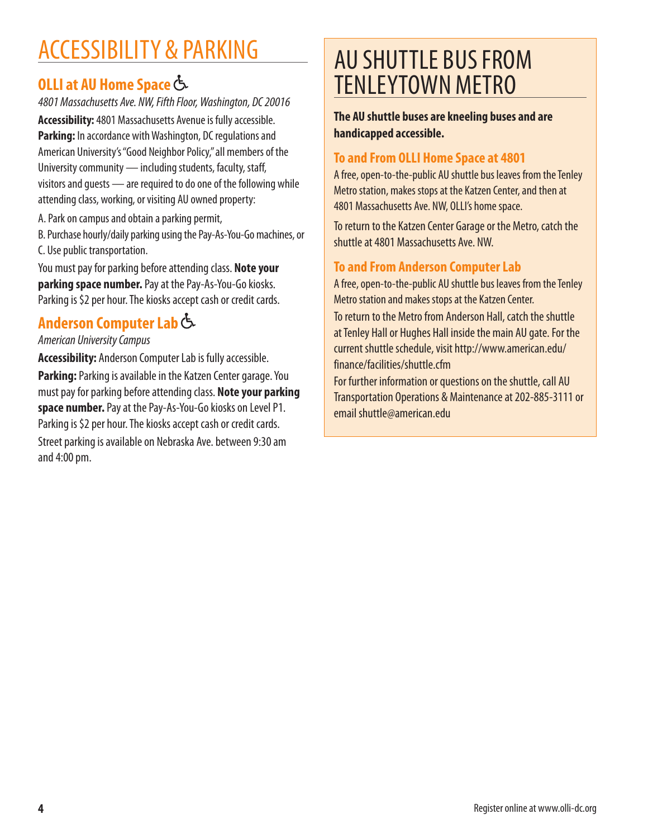# ACCESSIBILITY & PARKING

## **OLLI at AU Home Space**

*4801 Massachusetts Ave. NW, Fifth Floor, Washington, DC 20016*

**Accessibility:** 4801 Massachusetts Avenue is fully accessible. **Parking:** In accordance with Washington, DC regulations and American University's "Good Neighbor Policy," all members of the University community — including students, faculty, staff, visitors and guests — are required to do one of the following while attending class, working, or visiting AU owned property:

A. Park on campus and obtain a parking permit,

B. Purchase hourly/daily parking using the Pay-As-You-Go machines, or C. Use public transportation.

You must pay for parking before attending class. **Note your parking space number.** Pay at the Pay-As-You-Go kiosks. Parking is \$2 per hour. The kiosks accept cash or credit cards.

## **Anderson Computer Lab**

#### *American University Campus*

**Accessibility:** Anderson Computer Lab is fully accessible. **Parking:** Parking is available in the Katzen Center garage. You must pay for parking before attending class. **Note your parking space number.** Pay at the Pay-As-You-Go kiosks on Level P1. Parking is \$2 per hour. The kiosks accept cash or credit cards. Street parking is available on Nebraska Ave. between 9:30 am and 4:00 pm.

# AU SHUTTLE BUS FROM TENLEYTOWN METRO

**The AU shuttle buses are kneeling buses and are handicapped accessible.** 

#### **To and From OLLI Home Space at 4801**

A free, open-to-the-public AU shuttle bus leaves from the Tenley Metro station, makes stops at the Katzen Center, and then at 4801 Massachusetts Ave. NW, OLLI's home space.

To return to the Katzen Center Garage or the Metro, catch the shuttle at 4801 Massachusetts Ave. NW.

#### **To and From Anderson Computer Lab**

A free, open-to-the-public AU shuttle bus leaves from the Tenley Metro station and makes stops at the Katzen Center. To return to the Metro from Anderson Hall, catch the shuttle at Tenley Hall or Hughes Hall inside the main AU gate. For the current shuttle schedule, visit http://www.american.edu/ finance/facilities/shuttle.cfm

For further information or questions on the shuttle, call AU Transportation Operations & Maintenance at 202-885-3111 or email shuttle@american.edu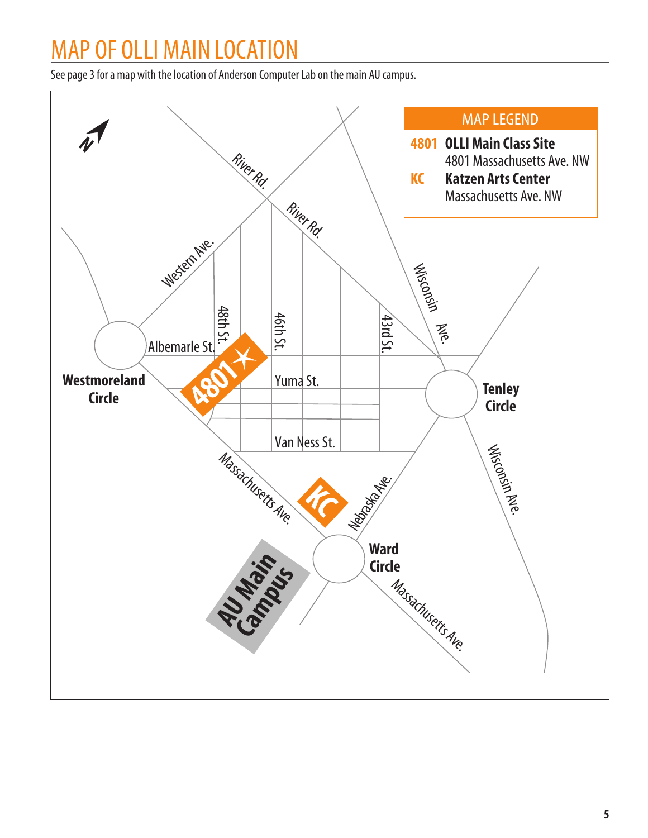# MAP OF OLLI MAIN LOCATION

See page 3 for a map with the location of Anderson Computer Lab on the main AU campus.

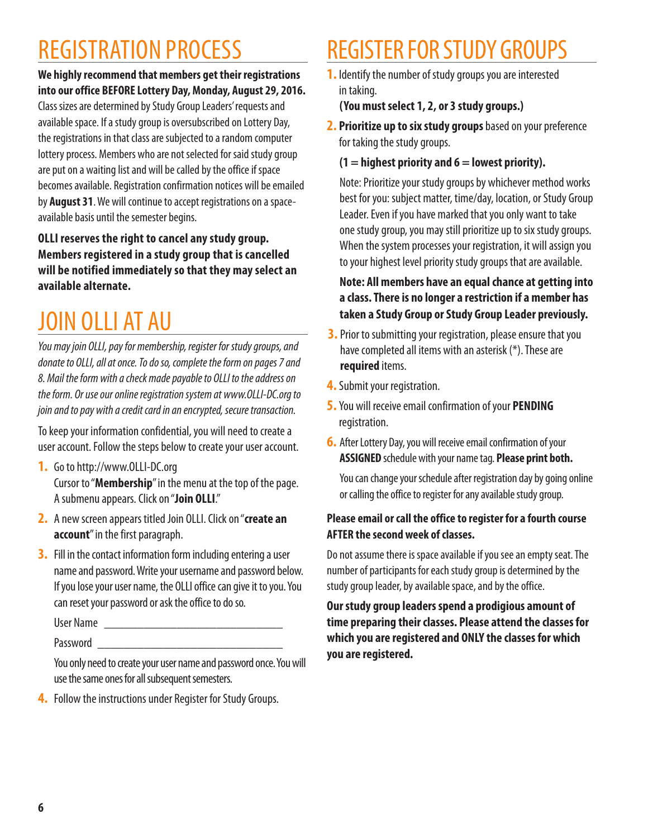# REGISTRATION PROCESS

#### **We highly recommend that members get their registrations into our office BEFORE Lottery Day, Monday, August 29, 2016.**

Class sizes are determined by Study Group Leaders' requests and available space. If a study group is oversubscribed on Lottery Day, the registrations in that class are subjected to a random computer lottery process. Members who are not selected for said study group are put on a waiting list and will be called by the office if space becomes available. Registration confirmation notices will be emailed by **August 31**. We will continue to accept registrations on a spaceavailable basis until the semester begins.

**OLLI reserves the right to cancel any study group. Members registered in a study group that is cancelled will be notified immediately so that they may select an available alternate.**

# JOIN OLLI AT AU

*You may join OLLI, pay for membership, register for study groups, and donate to OLLI, all at once. To do so, complete the form on pages 7 and 8. Mail the form with a check made payable to OLLI to the address on the form. Or use our online registration system at www.OLLI-DC.org to join and to pay with a credit card in an encrypted, secure transaction.*

To keep your information confidential, you will need to create a user account. Follow the steps below to create your user account.

- **1.** Go to http://www.OLLI-DC.org Cursor to "**Membership**" in the menu at the top of the page. A submenu appears. Click on "**Join OLLI**."
- **2.** A new screen appears titled Join OLLI. Click on "**create an account**" in the first paragraph.
- **3.** Fill in the contact information form including entering a user name and password. Write your username and password below. If you lose your user name, the OLLI office can give it to you. You can reset your password or ask the office to do so.

User Name \_\_\_\_\_\_\_\_\_\_\_\_\_\_\_\_\_\_\_\_\_\_\_\_\_\_\_

Password \_\_\_\_\_\_\_\_\_\_\_\_\_\_\_\_\_\_\_\_\_\_\_\_\_\_\_\_

 You only need to create your user name and password once. You will use the same ones for all subsequent semesters.

**4.** Follow the instructions under Register for Study Groups.

# REGISTER FOR STUDY GROUPS

**1.** Identify the number of study groups you are interested in taking.

**(You must select 1, 2, or 3 study groups.)**

**2. Prioritize up to six study groups** based on your preference for taking the study groups.

#### **(1 = highest priority and 6 = lowest priority).**

 Note: Prioritize your study groups by whichever method works best for you: subject matter, time/day, location, or Study Group Leader. Even if you have marked that you only want to take one study group, you may still prioritize up to six study groups. When the system processes your registration, it will assign you to your highest level priority study groups that are available.

#### **Note: All members have an equal chance at getting into a class. There is no longer a restriction if a member has taken a Study Group or Study Group Leader previously.**

- **3.** Prior to submitting your registration, please ensure that you have completed all items with an asterisk (\*). These are **required** items.
- **4.** Submit your registration.
- **5.** You will receive email confirmation of your **PENDING** registration.
- **6.** After Lottery Day, you will receive email confirmation of your **ASSIGNED** schedule with your name tag. **Please print both.**

 You can change your schedule after registration day by going online or calling the office to register for any available study group.

#### **Please email or call the office to register for a fourth course AFTER the second week of classes.**

Do not assume there is space available if you see an empty seat. The number of participants for each study group is determined by the study group leader, by available space, and by the office.

**Our study group leaders spend a prodigious amount of time preparing their classes. Please attend the classes for which you are registered and ONLY the classes for which you are registered.**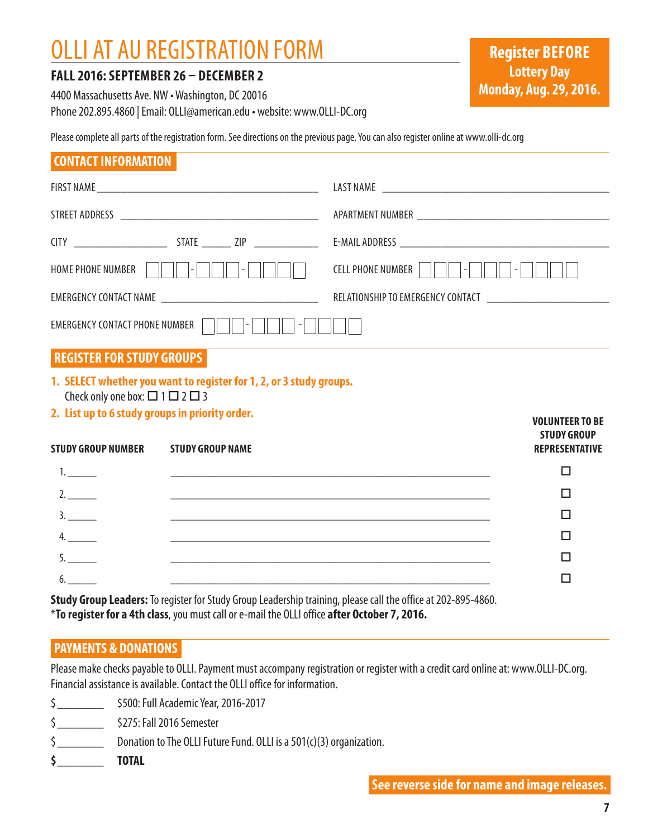# OLLI AT AU REGISTRATION FORM

#### **FALL 2016: SEPTEMBER 26 – DECEMBER 2**

4400 Massachusetts Ave. NW • Washington, DC 20016 Phone 202.895.4860 | Email: OLLI@american.edu • website: www.OLLI-DC.org

Please complete all parts of the registration form. See directions on the previous page. You can also register online at www.olli-dc.org

#### **CONTACT INFORMATION**

| <b>HOME PHONE NUMBER</b>                        | $\overline{\phantom{a}}$                                            | <b>CELL PHONE NUMBER</b><br>$\vert - \vert$                                                                                |  |
|-------------------------------------------------|---------------------------------------------------------------------|----------------------------------------------------------------------------------------------------------------------------|--|
|                                                 |                                                                     |                                                                                                                            |  |
| <b>EMERGENCY CONTACT PHONE NUMBER</b>           |                                                                     |                                                                                                                            |  |
| <b>REGISTER FOR STUDY GROUPS</b>                |                                                                     |                                                                                                                            |  |
| Check only one box: $\Box$ 1 $\Box$ 2 $\Box$ 3  | 1. SELECT whether you want to register for 1, 2, or 3 study groups. |                                                                                                                            |  |
| 2. List up to 6 study groups in priority order. |                                                                     | <b>VOLUNTEER TO BE</b>                                                                                                     |  |
| <b>STUDY GROUP NUMBER</b>                       | <b>STUDY GROUP NAME</b>                                             | <b>STUDY GROUP</b><br><b>REPRESENTATIVE</b>                                                                                |  |
| 1.                                              |                                                                     | П<br><u> 1989 - Jan Barat, margaret amerikan basar dan berasal dalam berasal dalam basa dalam berasal dalam berasal da</u> |  |
| 2.                                              |                                                                     | П<br><u> 1989 - Johann Stoff, deutscher Stoff, der Stoff, der Stoff, der Stoff, der Stoff, der Stoff, der Stoff, der S</u> |  |
| 3.                                              |                                                                     | ΙI                                                                                                                         |  |
| 4.                                              |                                                                     | ΙI                                                                                                                         |  |
| 5.                                              |                                                                     | ΙI                                                                                                                         |  |
| 6.                                              |                                                                     |                                                                                                                            |  |

**Study Group Leaders:** To register for Study Group Leadership training, please call the office at 202-895-4860. \***To register for a 4th class**, you must call or e-mail the OLLI office **after October 7, 2016.**

#### **PAYMENTS & DONATIONS**

Please make checks payable to OLLI. Payment must accompany registration or register with a credit card online at: www.OLLI-DC.org. Financial assistance is available. Contact the OLLI office for information.

- \$\_\_\_\_\_\_\_ \$500: Full Academic Year, 2016-2017
- \$\_\_\_\_\_\_\_ \$275: Fall 2016 Semester
- \$\_\_\_\_\_\_\_ Donation to The OLLI Future Fund. OLLI is a 501(c)(3) organization.
- **\$\_\_\_\_\_\_\_ TOTAL**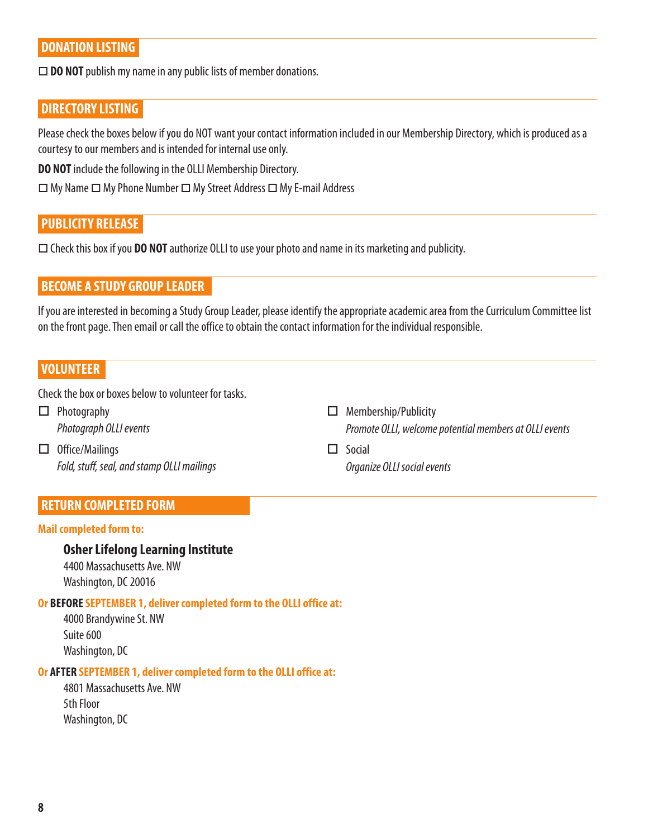#### **DONATION LISTING**

 $\Box$  **DO NOT** publish my name in any public lists of member donations.

#### **DIRECTORY LISTING**

Please check the boxes below if you do NOT want your contact information included in our Membership Directory, which is produced as a courtesy to our members and is intended for internal use only.

**DO NOT** include the following in the OLLI Membership Directory.

 $\Box$  My Name  $\Box$  My Phone Number  $\Box$  My Street Address  $\Box$  My E-mail Address

#### **PUBLICITY RELEASE**

 $\Box$  Check this box if you **DO NOT** authorize OLLI to use your photo and name in its marketing and publicity.

#### **BECOME A STUDY GROUP LEADER**

If you are interested in becoming a Study Group Leader, please identify the appropriate academic area from the Curriculum Committee list on the front page. Then email or call the office to obtain the contact information for the individual responsible.

#### **VOLUNTEER**

Check the box or boxes below to volunteer for tasks.

 $\Box$  Photography

*Photograph OLLI events*

 $\Box$  Office/Mailings *Fold, stuff, seal, and stamp OLLI mailings*

- $\Box$  Membership/Publicity *Promote OLLI, welcome potential members at OLLI events*
- $\square$  Social *Organize OLLI social events*

#### **RETURN COMPLETED FORM**

#### **Mail completed form to:**

#### **Osher Lifelong Learning Institute**

4400 Massachusetts Ave. NW Washington, DC 20016

#### **Or BEFORE SEPTEMBER 1, deliver completed form to the OLLI office at:**

4000 Brandywine St. NW Suite 600 Washington, DC

#### **Or AFTER SEPTEMBER 1, deliver completed form to the OLLI office at:**

4801 Massachusetts Ave. NW 5th Floor Washington, DC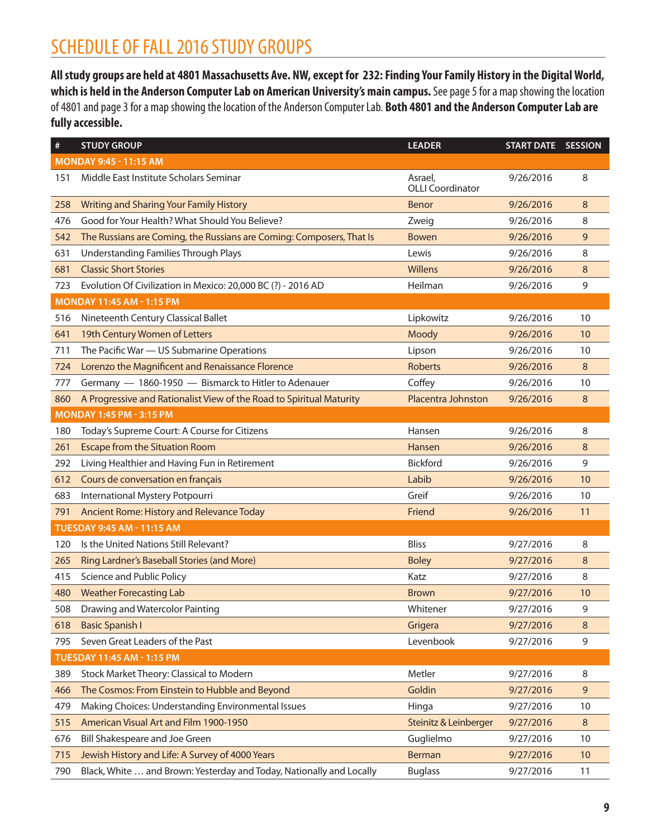# SCHEDULE OF FALL 2016 STUDY GROUPS

**All study groups are held at 4801 Massachusetts Ave. NW, except for 232: Finding Your Family History in the Digital World, which is held in the Anderson Computer Lab on American University's main campus.** See page 5 for a map showing the location of 4801 and page 3 for a map showing the location of the Anderson Computer Lab. **Both 4801 and the Anderson Computer Lab are fully accessible.**

| $\#$ | <b>STUDY GROUP</b>                                                   | <b>LEADER</b>                      | START DATE SESSION |    |
|------|----------------------------------------------------------------------|------------------------------------|--------------------|----|
|      | <b>MONDAY 9:45 - 11:15 AM</b>                                        |                                    |                    |    |
| 151  | Middle East Institute Scholars Seminar                               | Asrael,<br><b>OLLI Coordinator</b> | 9/26/2016          | 8  |
| 258  | <b>Writing and Sharing Your Family History</b>                       | Benor                              | 9/26/2016          | 8  |
| 476  | Good for Your Health? What Should You Believe?                       | Zweig                              | 9/26/2016          | 8  |
| 542  | The Russians are Coming, the Russians are Coming: Composers, That Is | <b>Bowen</b>                       | 9/26/2016          | 9  |
| 631  | <b>Understanding Families Through Plays</b>                          | Lewis                              | 9/26/2016          | 8  |
| 681  | <b>Classic Short Stories</b>                                         | Willens                            | 9/26/2016          | 8  |
| 723  | Evolution Of Civilization in Mexico: 20,000 BC (?) - 2016 AD         | Heilman                            | 9/26/2016          | 9  |
|      | MONDAY 11:45 AM - 1:15 PM                                            |                                    |                    |    |
| 516  | Nineteenth Century Classical Ballet                                  | Lipkowitz                          | 9/26/2016          | 10 |
| 641  | 19th Century Women of Letters                                        | Moody                              | 9/26/2016          | 10 |
| 711  | The Pacific War - US Submarine Operations                            | Lipson                             | 9/26/2016          | 10 |
| 724  | Lorenzo the Magnificent and Renaissance Florence                     | Roberts                            | 9/26/2016          | 8  |
| 777  | Germany - 1860-1950 - Bismarck to Hitler to Adenauer                 | Coffey                             | 9/26/2016          | 10 |
| 860  | A Progressive and Rationalist View of the Road to Spiritual Maturity | Placentra Johnston                 | 9/26/2016          | 8  |
|      | <b>MONDAY 1:45 PM - 3:15 PM</b>                                      |                                    |                    |    |
| 180  | Today's Supreme Court: A Course for Citizens                         | Hansen                             | 9/26/2016          | 8  |
| 261  | <b>Escape from the Situation Room</b>                                | Hansen                             | 9/26/2016          | 8  |
| 292  | Living Healthier and Having Fun in Retirement                        | <b>Bickford</b>                    | 9/26/2016          | 9  |
| 612  | Cours de conversation en français                                    | Labib                              | 9/26/2016          | 10 |
| 683  | International Mystery Potpourri                                      | Greif                              | 9/26/2016          | 10 |
| 791  | Ancient Rome: History and Relevance Today                            | Friend                             | 9/26/2016          | 11 |
|      | TUESDAY 9:45 AM - 11:15 AM                                           |                                    |                    |    |
| 120  | Is the United Nations Still Relevant?                                | <b>Bliss</b>                       | 9/27/2016          | 8  |
| 265  | Ring Lardner's Baseball Stories (and More)                           | <b>Boley</b>                       | 9/27/2016          | 8  |
| 415  | Science and Public Policy                                            | Katz                               | 9/27/2016          | 8  |
| 480  | <b>Weather Forecasting Lab</b>                                       | <b>Brown</b>                       | 9/27/2016          | 10 |
| 508  | Drawing and Watercolor Painting                                      | Whitener                           | 9/27/2016          | 9  |
| 618  | <b>Basic Spanish I</b>                                               | Grigera                            | 9/27/2016          | 8  |
| 795  | Seven Great Leaders of the Past                                      | Levenbook                          | 9/27/2016          | 9  |
|      | TUESDAY 11:45 AM - 1:15 PM                                           |                                    |                    |    |
| 389  | Stock Market Theory: Classical to Modern                             | Metler                             | 9/27/2016          | 8  |
| 466  | The Cosmos: From Einstein to Hubble and Beyond                       | Goldin                             | 9/27/2016          | 9  |
| 479  | Making Choices: Understanding Environmental Issues                   | Hinga                              | 9/27/2016          | 10 |
| 515  | American Visual Art and Film 1900-1950                               | Steinitz & Leinberger              | 9/27/2016          | 8  |
| 676  | Bill Shakespeare and Joe Green                                       | Guglielmo                          | 9/27/2016          | 10 |
| 715  | Jewish History and Life: A Survey of 4000 Years                      | <b>Berman</b>                      | 9/27/2016          | 10 |
| 790  | Black, White  and Brown: Yesterday and Today, Nationally and Locally | <b>Buglass</b>                     | 9/27/2016          | 11 |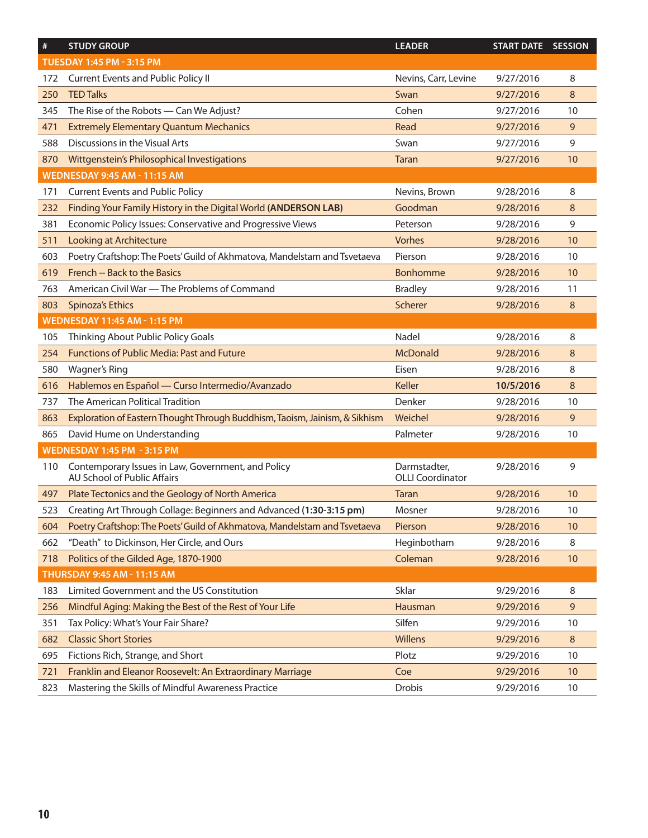| $\#$ | <b>STUDY GROUP</b>                                                                | <b>LEADER</b>                           | START DATE SESSION |    |
|------|-----------------------------------------------------------------------------------|-----------------------------------------|--------------------|----|
|      | TUESDAY 1:45 PM - 3:15 PM                                                         |                                         |                    |    |
| 172  | <b>Current Events and Public Policy II</b>                                        | Nevins, Carr, Levine                    | 9/27/2016          | 8  |
| 250  | <b>TED Talks</b>                                                                  | Swan                                    | 9/27/2016          | 8  |
| 345  | The Rise of the Robots - Can We Adjust?                                           | Cohen                                   | 9/27/2016          | 10 |
| 471  | <b>Extremely Elementary Quantum Mechanics</b>                                     | Read                                    | 9/27/2016          | 9  |
| 588  | Discussions in the Visual Arts                                                    | Swan                                    | 9/27/2016          | 9  |
| 870  | Wittgenstein's Philosophical Investigations                                       | <b>Taran</b>                            | 9/27/2016          | 10 |
|      | <b>WEDNESDAY 9:45 AM - 11:15 AM</b>                                               |                                         |                    |    |
| 171  | <b>Current Events and Public Policy</b>                                           | Nevins, Brown                           | 9/28/2016          | 8  |
| 232  | Finding Your Family History in the Digital World (ANDERSON LAB)                   | Goodman                                 | 9/28/2016          | 8  |
| 381  | Economic Policy Issues: Conservative and Progressive Views                        | Peterson                                | 9/28/2016          | 9  |
| 511  | <b>Looking at Architecture</b>                                                    | Vorhes                                  | 9/28/2016          | 10 |
| 603  | Poetry Craftshop: The Poets' Guild of Akhmatova, Mandelstam and Tsvetaeva         | Pierson                                 | 9/28/2016          | 10 |
| 619  | French -- Back to the Basics                                                      | Bonhomme                                | 9/28/2016          | 10 |
| 763  | American Civil War - The Problems of Command                                      | <b>Bradley</b>                          | 9/28/2016          | 11 |
| 803  | Spinoza's Ethics                                                                  | Scherer                                 | 9/28/2016          | 8  |
|      | <b>WEDNESDAY 11:45 AM - 1:15 PM</b>                                               |                                         |                    |    |
| 105  | Thinking About Public Policy Goals                                                | Nadel                                   | 9/28/2016          | 8  |
| 254  | <b>Functions of Public Media: Past and Future</b>                                 | <b>McDonald</b>                         | 9/28/2016          | 8  |
| 580  | <b>Wagner's Ring</b>                                                              | Eisen                                   | 9/28/2016          | 8  |
| 616  | Hablemos en Español — Curso Intermedio/Avanzado                                   | Keller                                  | 10/5/2016          | 8  |
| 737  | The American Political Tradition                                                  | Denker                                  | 9/28/2016          | 10 |
| 863  | Exploration of Eastern Thought Through Buddhism, Taoism, Jainism, & Sikhism       | Weichel                                 | 9/28/2016          | 9  |
| 865  | David Hume on Understanding                                                       | Palmeter                                | 9/28/2016          | 10 |
|      | <b>WEDNESDAY 1:45 PM - 3:15 PM</b>                                                |                                         |                    |    |
| 110  | Contemporary Issues in Law, Government, and Policy<br>AU School of Public Affairs | Darmstadter,<br><b>OLLI Coordinator</b> | 9/28/2016          | 9  |
| 497  | Plate Tectonics and the Geology of North America                                  | <b>Taran</b>                            | 9/28/2016          | 10 |
| 523  | Creating Art Through Collage: Beginners and Advanced (1:30-3:15 pm)               | Mosner                                  | 9/28/2016          | 10 |
| 604  | Poetry Craftshop: The Poets' Guild of Akhmatova, Mandelstam and Tsvetaeva         | Pierson                                 | 9/28/2016          | 10 |
| 662  | "Death" to Dickinson, Her Circle, and Ours                                        | Heginbotham                             | 9/28/2016          | 8  |
| 718  | Politics of the Gilded Age, 1870-1900                                             | Coleman                                 | 9/28/2016          | 10 |
|      | THURSDAY 9:45 AM - 11:15 AM                                                       |                                         |                    |    |
| 183  | Limited Government and the US Constitution                                        | Sklar                                   | 9/29/2016          | 8  |
| 256  | Mindful Aging: Making the Best of the Rest of Your Life                           | Hausman                                 | 9/29/2016          | 9  |
| 351  | Tax Policy: What's Your Fair Share?                                               | Silfen                                  | 9/29/2016          | 10 |
| 682  | <b>Classic Short Stories</b>                                                      | Willens                                 | 9/29/2016          | 8  |
| 695  | Fictions Rich, Strange, and Short                                                 | Plotz                                   | 9/29/2016          | 10 |
| 721  | Franklin and Eleanor Roosevelt: An Extraordinary Marriage                         | Coe                                     | 9/29/2016          | 10 |
| 823  | Mastering the Skills of Mindful Awareness Practice                                | Drobis                                  | 9/29/2016          | 10 |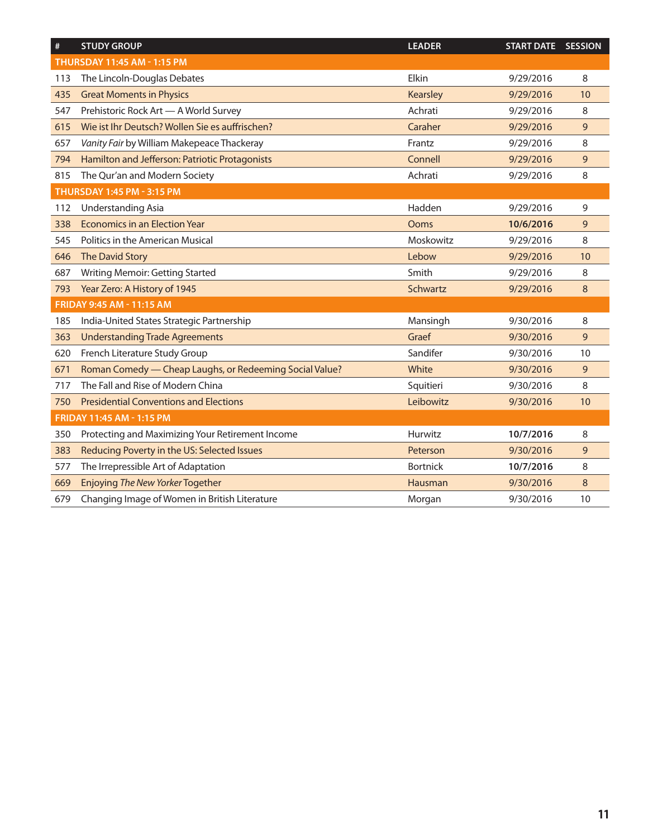| $\#$ | <b>STUDY GROUP</b>                                      | <b>LEADER</b>   | <b>START DATE SESSION</b> |    |
|------|---------------------------------------------------------|-----------------|---------------------------|----|
|      | THURSDAY 11:45 AM - 1:15 PM                             |                 |                           |    |
| 113  | The Lincoln-Douglas Debates                             | Elkin           | 9/29/2016                 | 8  |
| 435  | <b>Great Moments in Physics</b>                         | Kearsley        | 9/29/2016                 | 10 |
| 547  | Prehistoric Rock Art - A World Survey                   | Achrati         | 9/29/2016                 | 8  |
| 615  | Wie ist Ihr Deutsch? Wollen Sie es auffrischen?         | Caraher         | 9/29/2016                 | 9  |
| 657  | Vanity Fair by William Makepeace Thackeray              | Frantz          | 9/29/2016                 | 8  |
| 794  | Hamilton and Jefferson: Patriotic Protagonists          | Connell         | 9/29/2016                 | 9  |
| 815  | The Qur'an and Modern Society                           | Achrati         | 9/29/2016                 | 8  |
|      | THURSDAY 1:45 PM - 3:15 PM                              |                 |                           |    |
| 112  | <b>Understanding Asia</b>                               | Hadden          | 9/29/2016                 | 9  |
| 338  | <b>Economics in an Election Year</b>                    | Ooms            | 10/6/2016                 | 9  |
| 545  | Politics in the American Musical                        | Moskowitz       | 9/29/2016                 | 8  |
| 646  | <b>The David Story</b>                                  | Lebow           | 9/29/2016                 | 10 |
| 687  | Writing Memoir: Getting Started                         | Smith           | 9/29/2016                 | 8  |
| 793  | Year Zero: A History of 1945                            | Schwartz        | 9/29/2016                 | 8  |
|      | FRIDAY 9:45 AM - 11:15 AM                               |                 |                           |    |
| 185  | India-United States Strategic Partnership               | Mansingh        | 9/30/2016                 | 8  |
| 363  | <b>Understanding Trade Agreements</b>                   | Graef           | 9/30/2016                 | 9  |
| 620  | French Literature Study Group                           | Sandifer        | 9/30/2016                 | 10 |
| 671  | Roman Comedy — Cheap Laughs, or Redeeming Social Value? | White           | 9/30/2016                 | 9  |
| 717  | The Fall and Rise of Modern China                       | Squitieri       | 9/30/2016                 | 8  |
| 750  | <b>Presidential Conventions and Elections</b>           | Leibowitz       | 9/30/2016                 | 10 |
|      | <b>FRIDAY 11:45 AM - 1:15 PM</b>                        |                 |                           |    |
| 350  | Protecting and Maximizing Your Retirement Income        | Hurwitz         | 10/7/2016                 | 8  |
| 383  | Reducing Poverty in the US: Selected Issues             | Peterson        | 9/30/2016                 | 9  |
| 577  | The Irrepressible Art of Adaptation                     | <b>Bortnick</b> | 10/7/2016                 | 8  |
| 669  | Enjoying The New Yorker Together                        | Hausman         | 9/30/2016                 | 8  |
| 679  | Changing Image of Women in British Literature           | Morgan          | 9/30/2016                 | 10 |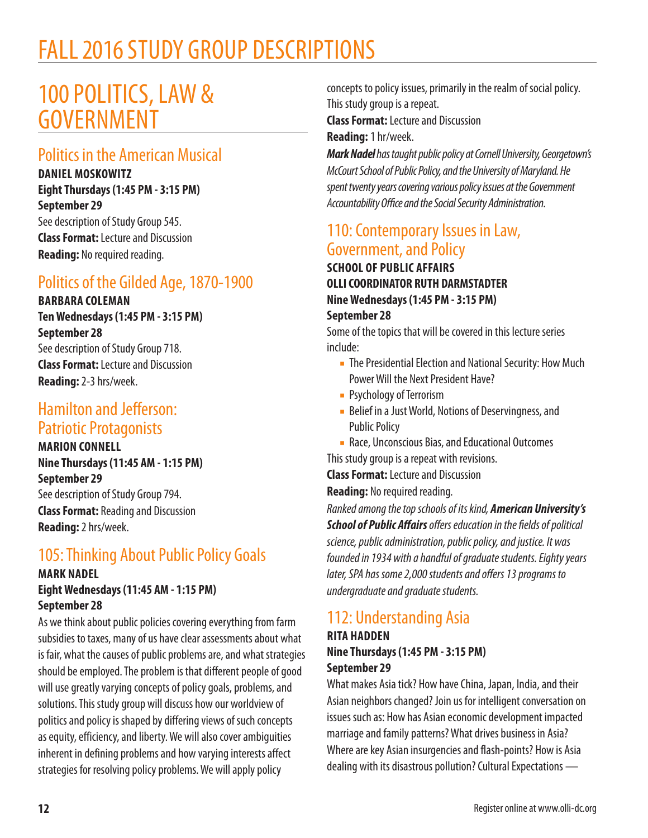# FALL 2016 STUDY GROUP DESCRIPTIONS

# 100 POLITICS, LAW & GOVERNMENT

## Politics in the American Musical

**DANIEL MOSKOWITZ Eight Thursdays (1:45 PM - 3:15 PM) September 29** See description of Study Group 545. **Class Format:** Lecture and Discussion **Reading:** No required reading.

## Politics of the Gilded Age, 1870-1900

**BARBARA COLEMAN Ten Wednesdays (1:45 PM - 3:15 PM) September 28** See description of Study Group 718.

**Class Format:** Lecture and Discussion **Reading:** 2-3 hrs/week.

### Hamilton and Jefferson: Patriotic Protagonists

**MARION CONNELL Nine Thursdays (11:45 AM - 1:15 PM) September 29** See description of Study Group 794. **Class Format:** Reading and Discussion **Reading:** 2 hrs/week.

# 105: Thinking About Public Policy Goals

#### **MARK NADEL Eight Wednesdays (11:45 AM - 1:15 PM) September 28**

As we think about public policies covering everything from farm subsidies to taxes, many of us have clear assessments about what is fair, what the causes of public problems are, and what strategies should be employed. The problem is that different people of good will use greatly varying concepts of policy goals, problems, and solutions. This study group will discuss how our worldview of politics and policy is shaped by differing views of such concepts as equity, efficiency, and liberty. We will also cover ambiguities inherent in defining problems and how varying interests affect strategies for resolving policy problems. We will apply policy

concepts to policy issues, primarily in the realm of social policy. This study group is a repeat.

**Class Format:** Lecture and Discussion

**Reading:** 1 hr/week.

*Mark Nadel has taught public policy at Cornell University, Georgetown's McCourt School of Public Policy, and the University of Maryland. He spent twenty years covering various policy issues at the Government Accountability Office and the Social Security Administration.*

### 110: Contemporary Issues in Law, Government, and Policy

**SCHOOL OF PUBLIC AFFAIRS OLLI COORDINATOR RUTH DARMSTADTER Nine Wednesdays (1:45 PM - 3:15 PM) September 28**

Some of the topics that will be covered in this lecture series include:

- The Presidential Election and National Security: How Much Power Will the Next President Have?
- Psychology of Terrorism
- Belief in a Just World, Notions of Deservingness, and Public Policy
- Race, Unconscious Bias, and Educational Outcomes This study group is a repeat with revisions.

**Class Format:** Lecture and Discussion

**Reading:** No required reading.

*Ranked among the top schools of its kind, American University's School of Public Affairs offers education in the fields of political science, public administration, public policy, and justice. It was founded in 1934 with a handful of graduate students. Eighty years later, SPA has some 2,000 students and offers 13 programs to undergraduate and graduate students.*

# 112: Understanding Asia

#### **RITA HADDEN Nine Thursdays (1:45 PM - 3:15 PM) September 29**

What makes Asia tick? How have China, Japan, India, and their Asian neighbors changed? Join us for intelligent conversation on issues such as: How has Asian economic development impacted marriage and family patterns? What drives business in Asia? Where are key Asian insurgencies and flash-points? How is Asia dealing with its disastrous pollution? Cultural Expectations —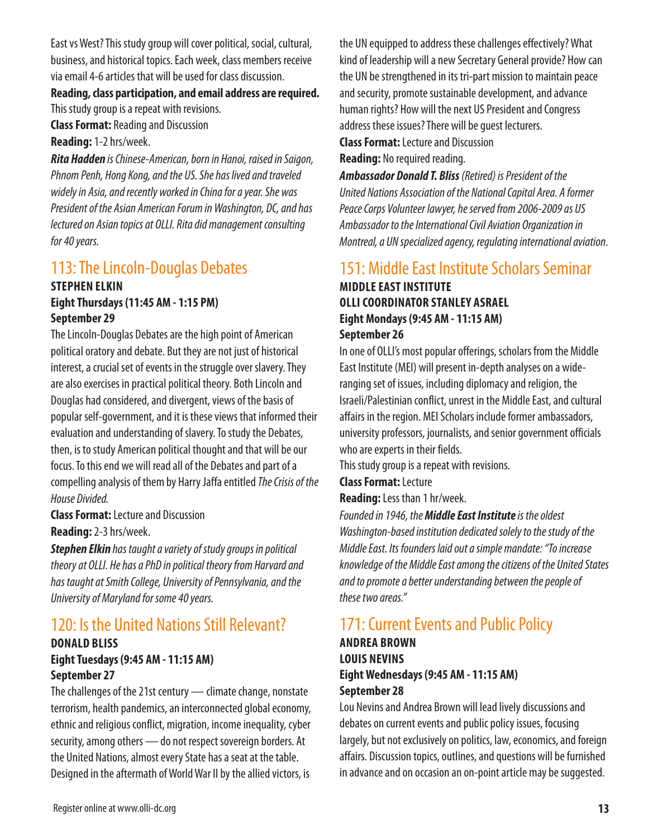East vs West? This study group will cover political, social, cultural, business, and historical topics. Each week, class members receive via email 4-6 articles that will be used for class discussion.

**Reading, class participation, and email address are required.** This study group is a repeat with revisions.

**Class Format:** Reading and Discussion

**Reading:** 1-2 hrs/week.

*Rita Hadden is Chinese-American, born in Hanoi, raised in Saigon, Phnom Penh, Hong Kong, and the US. She has lived and traveled widely in Asia, and recently worked in China for a year. She was President of the Asian American Forum in Washington, DC, and has lectured on Asian topics at OLLI. Rita did management consulting for 40 years.*

#### 113: The Lincoln-Douglas Debates **STEPHEN ELKIN Eight Thursdays (11:45 AM - 1:15 PM)**

#### **September 29**

The Lincoln-Douglas Debates are the high point of American political oratory and debate. But they are not just of historical interest, a crucial set of events in the struggle over slavery. They are also exercises in practical political theory. Both Lincoln and Douglas had considered, and divergent, views of the basis of popular self-government, and it is these views that informed their evaluation and understanding of slavery. To study the Debates, then, is to study American political thought and that will be our focus. To this end we will read all of the Debates and part of a compelling analysis of them by Harry Jaffa entitled *The Crisis of the House Divided.*

**Class Format:** Lecture and Discussion **Reading:** 2-3 hrs/week.

*Stephen Elkin has taught a variety of study groups in political theory at OLLI. He has a PhD in political theory from Harvard and has taught at Smith College, University of Pennsylvania, and the University of Maryland for some 40 years.*

## 120: Is the United Nations Still Relevant?

#### **DONALD BLISS**

#### **Eight Tuesdays (9:45 AM - 11:15 AM) September 27**

The challenges of the 21st century — climate change, nonstate terrorism, health pandemics, an interconnected global economy, ethnic and religious conflict, migration, income inequality, cyber security, among others — do not respect sovereign borders. At the United Nations, almost every State has a seat at the table. Designed in the aftermath of World War II by the allied victors, is

the UN equipped to address these challenges effectively? What kind of leadership will a new Secretary General provide? How can the UN be strengthened in its tri-part mission to maintain peace and security, promote sustainable development, and advance human rights? How will the next US President and Congress address these issues? There will be guest lecturers.

**Class Format:** Lecture and Discussion **Reading:** No required reading.

*Ambassador Donald T. Bliss (Retired) is President of the United Nations Association of the National Capital Area. A former Peace Corps Volunteer lawyer, he served from 2006-2009 as US Ambassador to the International Civil Aviation Organization in Montreal, a UN specialized agency, regulating international aviation.*

#### 151: Middle East Institute Scholars Seminar **MIDDLE EAST INSTITUTE OLLI COORDINATOR STANLEY ASRAEL Eight Mondays (9:45 AM - 11:15 AM) September 26**

In one of OLLI's most popular offerings, scholars from the Middle East Institute (MEI) will present in-depth analyses on a wideranging set of issues, including diplomacy and religion, the Israeli/Palestinian conflict, unrest in the Middle East, and cultural affairs in the region. MEI Scholars include former ambassadors, university professors, journalists, and senior government officials who are experts in their fields.

This study group is a repeat with revisions.

**Class Format:** Lecture

**Reading:** Less than 1 hr/week.

*Founded in 1946, the Middle East Institute is the oldest Washington-based institution dedicated solely to the study of the Middle East. Its founders laid out a simple mandate: "To increase knowledge of the Middle East among the citizens of the United States and to promote a better understanding between the people of these two areas."*

## 171: Current Events and Public Policy

#### **ANDREA BROWN LOUIS NEVINS Eight Wednesdays (9:45 AM - 11:15 AM) September 28**

Lou Nevins and Andrea Brown will lead lively discussions and debates on current events and public policy issues, focusing largely, but not exclusively on politics, law, economics, and foreign affairs. Discussion topics, outlines, and questions will be furnished in advance and on occasion an on-point article may be suggested.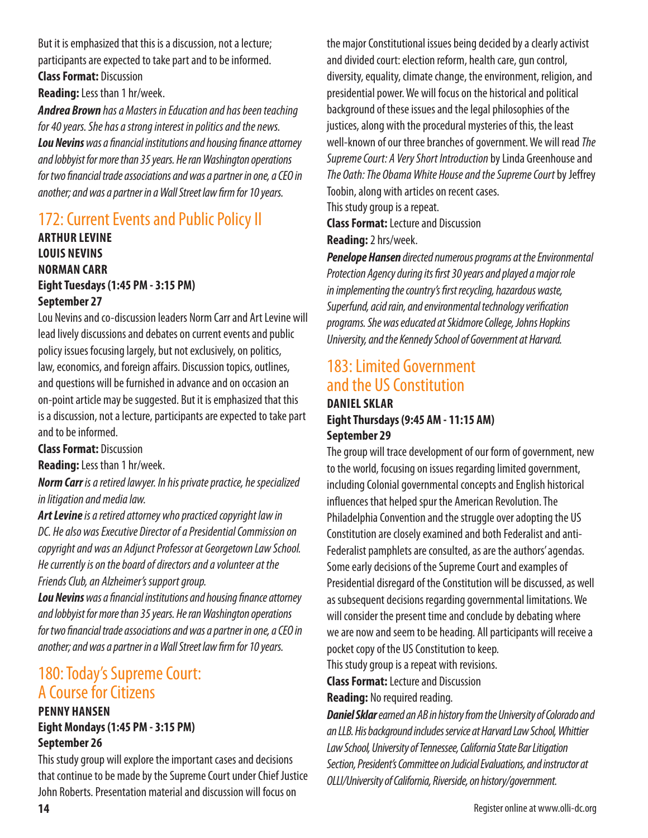But it is emphasized that this is a discussion, not a lecture; participants are expected to take part and to be informed. **Class Format:** Discussion

**Reading:** Less than 1 hr/week.

*Andrea Brown has a Masters in Education and has been teaching for 40 years. She has a strong interest in politics and the news. Lou Nevins was a financial institutions and housing finance attorney and lobbyist for more than 35 years. He ran Washington operations for two financial trade associations and was a partner in one, a CEO in another; and was a partner in a Wall Street law firm for 10 years.*

## 172: Current Events and Public Policy II

**ARTHUR LEVINE LOUIS NEVINS NORMAN CARR Eight Tuesdays (1:45 PM - 3:15 PM) September 27**

Lou Nevins and co-discussion leaders Norm Carr and Art Levine will lead lively discussions and debates on current events and public policy issues focusing largely, but not exclusively, on politics, law, economics, and foreign affairs. Discussion topics, outlines, and questions will be furnished in advance and on occasion an on-point article may be suggested. But it is emphasized that this is a discussion, not a lecture, participants are expected to take part and to be informed.

**Class Format:** Discussion

**Reading:** Less than 1 hr/week.

*Norm Carr is a retired lawyer. In his private practice, he specialized in litigation and media law.*

*Art Levine is a retired attorney who practiced copyright law in DC. He also was Executive Director of a Presidential Commission on copyright and was an Adjunct Professor at Georgetown Law School. He currently is on the board of directors and a volunteer at the Friends Club, an Alzheimer's support group.*

*Lou Nevins was a financial institutions and housing finance attorney and lobbyist for more than 35 years. He ran Washington operations for two financial trade associations and was a partner in one, a CEO in another; and was a partner in a Wall Street law firm for 10 years.*

#### 180: Today's Supreme Court: A Course for Citizens **PENNY HANSEN**

#### **Eight Mondays (1:45 PM - 3:15 PM) September 26**

This study group will explore the important cases and decisions that continue to be made by the Supreme Court under Chief Justice John Roberts. Presentation material and discussion will focus on

the major Constitutional issues being decided by a clearly activist and divided court: election reform, health care, gun control, diversity, equality, climate change, the environment, religion, and presidential power. We will focus on the historical and political background of these issues and the legal philosophies of the justices, along with the procedural mysteries of this, the least well-known of our three branches of government. We will read *The Supreme Court: A Very Short Introduction* by Linda Greenhouse and *The Oath: The Obama White House and the Supreme Court* by Jeffrey Toobin, along with articles on recent cases.

This study group is a repeat. **Class Format:** Lecture and Discussion **Reading:** 2 hrs/week.

*Penelope Hansen directed numerous programs at the Environmental Protection Agency during its first 30 years and played a major role in implementing the country's first recycling, hazardous waste, Superfund, acid rain, and environmental technology verification programs. She was educated at Skidmore College, Johns Hopkins University, and the Kennedy School of Government at Harvard.*

### 183: Limited Government and the US Constitution

#### **DANIEL SKLAR Eight Thursdays (9:45 AM - 11:15 AM) September 29**

The group will trace development of our form of government, new to the world, focusing on issues regarding limited government, including Colonial governmental concepts and English historical influences that helped spur the American Revolution. The Philadelphia Convention and the struggle over adopting the US Constitution are closely examined and both Federalist and anti-Federalist pamphlets are consulted, as are the authors' agendas. Some early decisions of the Supreme Court and examples of Presidential disregard of the Constitution will be discussed, as well as subsequent decisions regarding governmental limitations. We will consider the present time and conclude by debating where we are now and seem to be heading. All participants will receive a pocket copy of the US Constitution to keep.

This study group is a repeat with revisions.

**Class Format:** Lecture and Discussion

**Reading:** No required reading.

*Daniel Sklar earned an AB in history from the University of Colorado and an LLB. His background includes service at Harvard Law School, Whittier Law School, University of Tennessee, California State Bar Litigation Section, President's Committee on Judicial Evaluations, and instructor at OLLI/University of California, Riverside, on history/government.*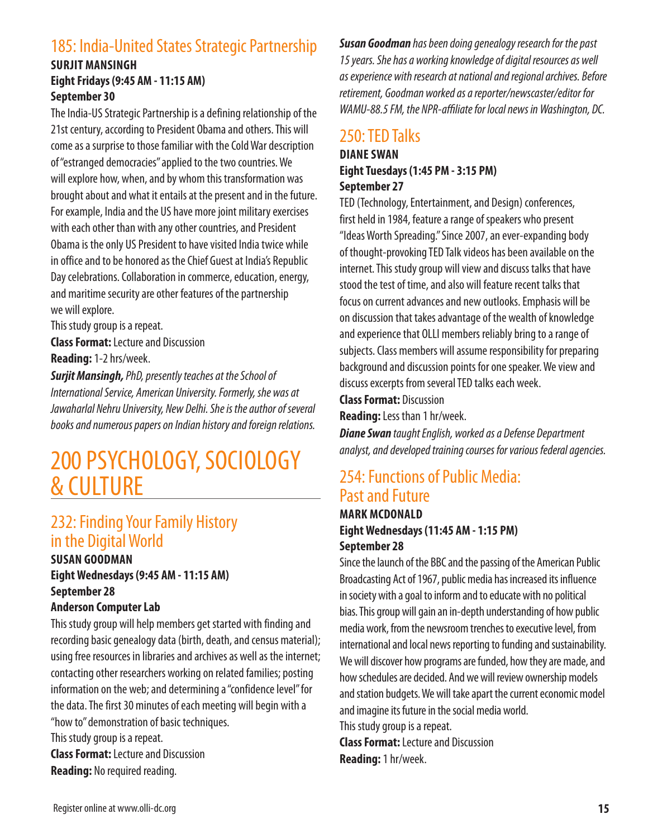#### 185: India-United States Strategic Partnership **SURJIT MANSINGH Eight Fridays (9:45 AM - 11:15 AM)**

#### **September 30**

The India-US Strategic Partnership is a defining relationship of the 21st century, according to President Obama and others. This will come as a surprise to those familiar with the Cold War description of "estranged democracies" applied to the two countries. We will explore how, when, and by whom this transformation was brought about and what it entails at the present and in the future. For example, India and the US have more joint military exercises with each other than with any other countries, and President Obama is the only US President to have visited India twice while in office and to be honored as the Chief Guest at India's Republic Day celebrations. Collaboration in commerce, education, energy, and maritime security are other features of the partnership we will explore.

This study group is a repeat.

**Class Format:** Lecture and Discussion **Reading:** 1-2 hrs/week.

*Surjit Mansingh, PhD, presently teaches at the School of International Service, American University. Formerly, she was at Jawaharlal Nehru University, New Delhi. She is the author of several books and numerous papers on Indian history and foreign relations.*

# 200 PSYCHOLOGY, SOCIOLOGY & CULTURE

## 232: Finding Your Family History in the Digital World

#### **SUSAN GOODMAN Eight Wednesdays (9:45 AM - 11:15 AM) September 28**

#### **Anderson Computer Lab**

This study group will help members get started with finding and recording basic genealogy data (birth, death, and census material); using free resources in libraries and archives as well as the internet; contacting other researchers working on related families; posting information on the web; and determining a "confidence level" for the data. The first 30 minutes of each meeting will begin with a "how to" demonstration of basic techniques. This study group is a repeat. **Class Format:** Lecture and Discussion

**Reading:** No required reading.

*Susan Goodman has been doing genealogy research for the past 15 years. She has a working knowledge of digital resources as well as experience with research at national and regional archives. Before retirement, Goodman worked as a reporter/newscaster/editor for WAMU-88.5 FM, the NPR-affiliate for local news in Washington, DC.*

## 250: TED Talks

#### **DIANE SWAN Eight Tuesdays (1:45 PM - 3:15 PM) September 27**

TED (Technology, Entertainment, and Design) conferences, first held in 1984, feature a range of speakers who present "Ideas Worth Spreading." Since 2007, an ever-expanding body of thought-provoking TED Talk videos has been available on the internet. This study group will view and discuss talks that have stood the test of time, and also will feature recent talks that focus on current advances and new outlooks. Emphasis will be on discussion that takes advantage of the wealth of knowledge and experience that OLLI members reliably bring to a range of subjects. Class members will assume responsibility for preparing background and discussion points for one speaker. We view and discuss excerpts from several TED talks each week.

#### **Class Format:** Discussion

**Reading:** Less than 1 hr/week.

*Diane Swan taught English, worked as a Defense Department analyst, and developed training courses for various federal agencies.*

## 254: Functions of Public Media: Past and Future

#### **MARK MCDONALD Eight Wednesdays (11:45 AM - 1:15 PM) September 28**

Since the launch of the BBC and the passing of the American Public Broadcasting Act of 1967, public media has increased its influence in society with a goal to inform and to educate with no political bias. This group will gain an in-depth understanding of how public media work, from the newsroom trenches to executive level, from international and local news reporting to funding and sustainability. We will discover how programs are funded, how they are made, and how schedules are decided. And we will review ownership models and station budgets. We will take apart the current economic model and imagine its future in the social media world.

This study group is a repeat.

**Class Format:** Lecture and Discussion **Reading:** 1 hr/week.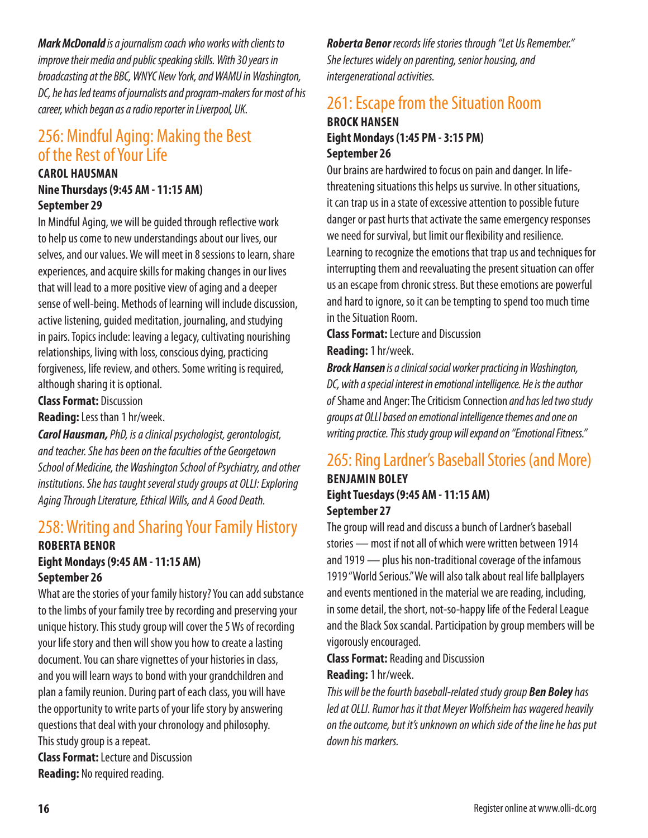*Mark McDonald is a journalism coach who works with clients to improve their media and public speaking skills. With 30 years in broadcasting at the BBC, WNYC New York, and WAMU in Washington, DC, he has led teams of journalists and program-makers for most of his career, which began as a radio reporter in Liverpool, UK.*

## 256: Mindful Aging: Making the Best of the Rest of Your Life

#### **CAROL HAUSMAN Nine Thursdays (9:45 AM - 11:15 AM) September 29**

In Mindful Aging, we will be guided through reflective work to help us come to new understandings about our lives, our selves, and our values. We will meet in 8 sessions to learn, share experiences, and acquire skills for making changes in our lives that will lead to a more positive view of aging and a deeper sense of well-being. Methods of learning will include discussion, active listening, guided meditation, journaling, and studying in pairs. Topics include: leaving a legacy, cultivating nourishing relationships, living with loss, conscious dying, practicing forgiveness, life review, and others. Some writing is required, although sharing it is optional.

#### **Class Format:** Discussion

**Reading:** Less than 1 hr/week.

*Carol Hausman, PhD, is a clinical psychologist, gerontologist, and teacher. She has been on the faculties of the Georgetown School of Medicine, the Washington School of Psychiatry, and other institutions. She has taught several study groups at OLLI: Exploring Aging Through Literature, Ethical Wills, and A Good Death.*

### 258: Writing and Sharing Your Family History

#### **ROBERTA BENOR Eight Mondays (9:45 AM - 11:15 AM) September 26**

What are the stories of your family history? You can add substance to the limbs of your family tree by recording and preserving your unique history. This study group will cover the 5 Ws of recording your life story and then will show you how to create a lasting document. You can share vignettes of your histories in class, and you will learn ways to bond with your grandchildren and plan a family reunion. During part of each class, you will have the opportunity to write parts of your life story by answering questions that deal with your chronology and philosophy. This study group is a repeat.

**Class Format:** Lecture and Discussion **Reading:** No required reading.

*Roberta Benor records life stories through "Let Us Remember." She lectures widely on parenting, senior housing, and intergenerational activities.*

## 261: Escape from the Situation Room

#### **BROCK HANSEN Eight Mondays (1:45 PM - 3:15 PM) September 26**

Our brains are hardwired to focus on pain and danger. In lifethreatening situations this helps us survive. In other situations, it can trap us in a state of excessive attention to possible future danger or past hurts that activate the same emergency responses we need for survival, but limit our flexibility and resilience. Learning to recognize the emotions that trap us and techniques for interrupting them and reevaluating the present situation can offer us an escape from chronic stress. But these emotions are powerful and hard to ignore, so it can be tempting to spend too much time in the Situation Room.

**Class Format:** Lecture and Discussion **Reading:** 1 hr/week.

*Brock Hansen is a clinical social worker practicing in Washington, DC, with a special interest in emotional intelligence. He is the author of* Shame and Anger: The Criticism Connection *and has led two study groups at OLLI based on emotional intelligence themes and one on writing practice. This study group will expand on "Emotional Fitness."*

### 265: Ring Lardner's Baseball Stories (and More) **BENJAMIN BOLEY Eight Tuesdays (9:45 AM - 11:15 AM)**

#### **September 27**

The group will read and discuss a bunch of Lardner's baseball stories — most if not all of which were written between 1914 and 1919 — plus his non-traditional coverage of the infamous 1919 "World Serious." We will also talk about real life ballplayers and events mentioned in the material we are reading, including, in some detail, the short, not-so-happy life of the Federal League and the Black Sox scandal. Participation by group members will be vigorously encouraged.

**Class Format:** Reading and Discussion

#### **Reading:** 1 hr/week.

*This will be the fourth baseball-related study group Ben Boley has led at OLLI. Rumor has it that Meyer Wolfsheim has wagered heavily on the outcome, but it's unknown on which side of the line he has put down his markers.*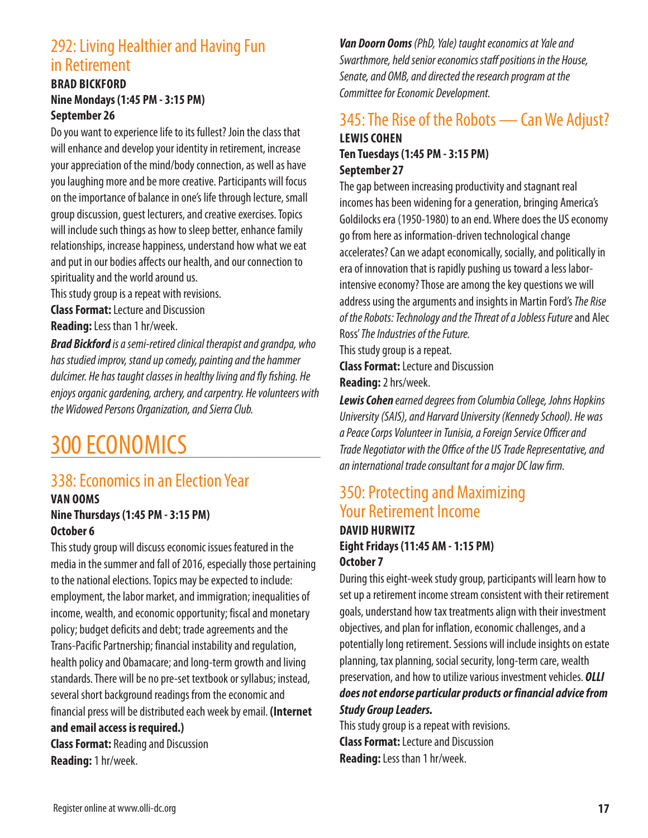## 292: Living Healthier and Having Fun in Retirement

#### **BRAD BICKFORD Nine Mondays (1:45 PM - 3:15 PM) September 26**

Do you want to experience life to its fullest? Join the class that will enhance and develop your identity in retirement, increase your appreciation of the mind/body connection, as well as have you laughing more and be more creative. Participants will focus on the importance of balance in one's life through lecture, small group discussion, guest lecturers, and creative exercises. Topics will include such things as how to sleep better, enhance family relationships, increase happiness, understand how what we eat and put in our bodies affects our health, and our connection to spirituality and the world around us.

This study group is a repeat with revisions.

**Class Format:** Lecture and Discussion

**Reading:** Less than 1 hr/week.

*Brad Bickford is a semi-retired clinical therapist and grandpa, who has studied improv, stand up comedy, painting and the hammer dulcimer. He has taught classes in healthy living and fly fishing. He enjoys organic gardening, archery, and carpentry. He volunteers with the Widowed Persons Organization, and Sierra Club.*

# 300 ECONOMICS

## 338: Economics in an Election Year

#### **VAN OOMS Nine Thursdays (1:45 PM - 3:15 PM) October 6**

This study group will discuss economic issues featured in the media in the summer and fall of 2016, especially those pertaining to the national elections. Topics may be expected to include: employment, the labor market, and immigration; inequalities of income, wealth, and economic opportunity; fiscal and monetary policy; budget deficits and debt; trade agreements and the Trans-Pacific Partnership; financial instability and regulation, health policy and Obamacare; and long-term growth and living standards. There will be no pre-set textbook or syllabus; instead, several short background readings from the economic and financial press will be distributed each week by email. **(Internet and email access is required.) Class Format:** Reading and Discussion

**Reading:** 1 hr/week.

*Van Doorn Ooms (PhD, Yale) taught economics at Yale and Swarthmore, held senior economics staff positions in the House, Senate, and OMB, and directed the research program at the Committee for Economic Development.*

#### 345: The Rise of the Robots — Can We Adjust? **LEWIS COHEN Ten Tuesdays (1:45 PM - 3:15 PM) September 27**

The gap between increasing productivity and stagnant real incomes has been widening for a generation, bringing America's Goldilocks era (1950-1980) to an end. Where does the US economy go from here as information-driven technological change accelerates? Can we adapt economically, socially, and politically in era of innovation that is rapidly pushing us toward a less laborintensive economy? Those are among the key questions we will address using the arguments and insights in Martin Ford's *The Rise of the Robots: Technology and the Threat of a Jobless Future* and Alec Ross' *The Industries of the Future.* 

This study group is a repeat.

**Class Format:** Lecture and Discussion **Reading:** 2 hrs/week.

*Lewis Cohen earned degrees from Columbia College, Johns Hopkins University (SAIS), and Harvard University (Kennedy School). He was a Peace Corps Volunteer in Tunisia, a Foreign Service Officer and Trade Negotiator with the Office of the US Trade Representative, and an international trade consultant for a major DC law firm.*

## 350: Protecting and Maximizing Your Retirement Income

#### **DAVID HURWITZ Eight Fridays (11:45 AM - 1:15 PM) October 7**

During this eight-week study group, participants will learn how to set up a retirement income stream consistent with their retirement goals, understand how tax treatments align with their investment objectives, and plan for inflation, economic challenges, and a potentially long retirement. Sessions will include insights on estate planning, tax planning, social security, long-term care, wealth preservation, and how to utilize various investment vehicles. *OLLI does not endorse particular products or financial advice from Study Group Leaders.*

This study group is a repeat with revisions. **Class Format:** Lecture and Discussion **Reading:** Less than 1 hr/week.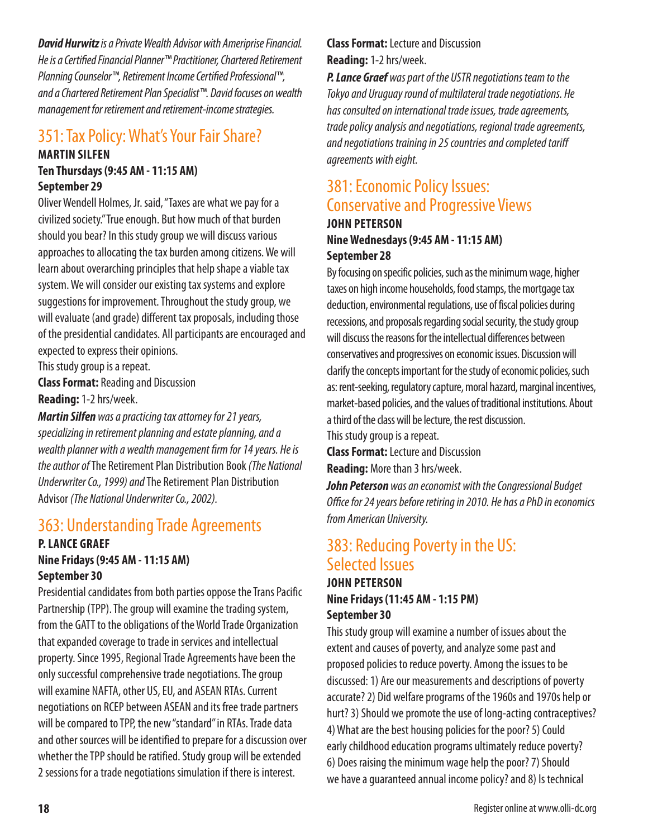*David Hurwitz is a Private Wealth Advisor with Ameriprise Financial. He is a Certified Financial Planner™ Practitioner, Chartered Retirement Planning Counselor™, Retirement Income Certified Professional™, and a Chartered Retirement Plan Specialist™. David focuses on wealth management for retirement and retirement-income strategies.*

# 351: Tax Policy: What's Your Fair Share?

#### **MARTIN SILFEN Ten Thursdays (9:45 AM - 11:15 AM) September 29**

Oliver Wendell Holmes, Jr. said, "Taxes are what we pay for a civilized society." True enough. But how much of that burden should you bear? In this study group we will discuss various approaches to allocating the tax burden among citizens. We will learn about overarching principles that help shape a viable tax system. We will consider our existing tax systems and explore suggestions for improvement. Throughout the study group, we will evaluate (and grade) different tax proposals, including those of the presidential candidates. All participants are encouraged and expected to express their opinions.

This study group is a repeat.

**Class Format:** Reading and Discussion **Reading:** 1-2 hrs/week.

*Martin Silfen was a practicing tax attorney for 21 years, specializing in retirement planning and estate planning, and a wealth planner with a wealth management firm for 14 years. He is the author of* The Retirement Plan Distribution Book *(The National Underwriter Co., 1999) and* The Retirement Plan Distribution Advisor *(The National Underwriter Co., 2002).*

## 363: Understanding Trade Agreements

#### **P. LANCE GRAEF Nine Fridays (9:45 AM - 11:15 AM) September 30**

Presidential candidates from both parties oppose the Trans Pacific Partnership (TPP). The group will examine the trading system, from the GATT to the obligations of the World Trade Organization that expanded coverage to trade in services and intellectual property. Since 1995, Regional Trade Agreements have been the only successful comprehensive trade negotiations. The group will examine NAFTA, other US, EU, and ASEAN RTAs. Current negotiations on RCEP between ASEAN and its free trade partners will be compared to TPP, the new "standard" in RTAs. Trade data and other sources will be identified to prepare for a discussion over whether the TPP should be ratified. Study group will be extended 2 sessions for a trade negotiations simulation if there is interest.

**Class Format:** Lecture and Discussion **Reading:** 1-2 hrs/week.

*P. Lance Graef was part of the USTR negotiations team to the Tokyo and Uruguay round of multilateral trade negotiations. He has consulted on international trade issues, trade agreements, trade policy analysis and negotiations, regional trade agreements, and negotiations training in 25 countries and completed tariff agreements with eight.*

#### 381: Economic Policy Issues: Conservative and Progressive Views **JOHN PETERSON**

#### **Nine Wednesdays (9:45 AM - 11:15 AM) September 28**

By focusing on specific policies, such as the minimum wage, higher taxes on high income households, food stamps, the mortgage tax deduction, environmental regulations, use of fiscal policies during recessions, and proposals regarding social security, the study group will discuss the reasons for the intellectual differences between conservatives and progressives on economic issues. Discussion will clarify the concepts important for the study of economic policies, such as: rent-seeking, regulatory capture, moral hazard, marginal incentives, market-based policies, and the values of traditional institutions. About a third of the class will be lecture, the rest discussion. This study group is a repeat.

**Class Format:** Lecture and Discussion **Reading:** More than 3 hrs/week.

*John Peterson was an economist with the Congressional Budget Office for 24 years before retiring in 2010. He has a PhD in economics from American University.*

## 383: Reducing Poverty in the US: Selected Issues

#### **JOHN PETERSON Nine Fridays (11:45 AM - 1:15 PM) September 30**

This study group will examine a number of issues about the extent and causes of poverty, and analyze some past and proposed policies to reduce poverty. Among the issues to be discussed: 1) Are our measurements and descriptions of poverty accurate? 2) Did welfare programs of the 1960s and 1970s help or hurt? 3) Should we promote the use of long-acting contraceptives? 4) What are the best housing policies for the poor? 5) Could early childhood education programs ultimately reduce poverty? 6) Does raising the minimum wage help the poor? 7) Should we have a guaranteed annual income policy? and 8) Is technical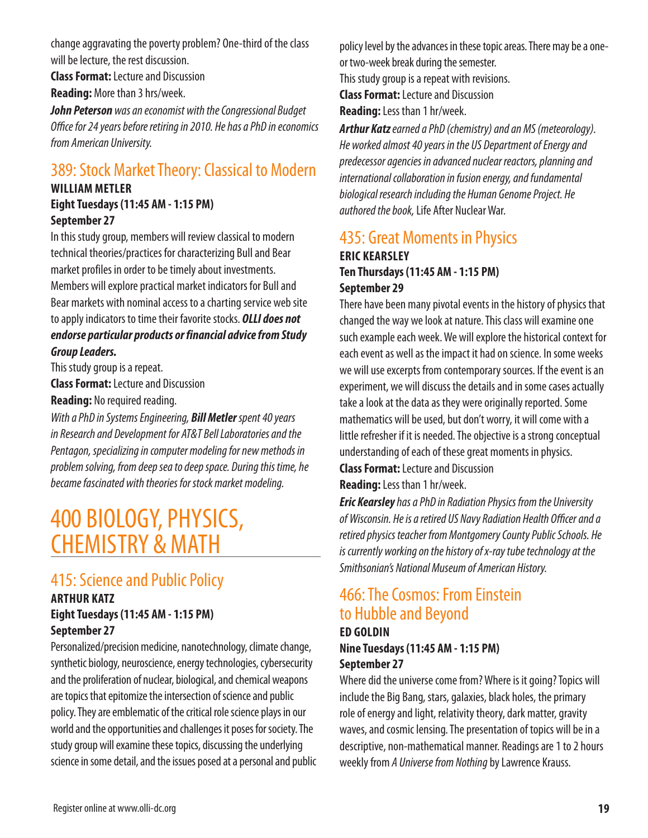change aggravating the poverty problem? One-third of the class will be lecture, the rest discussion.

**Class Format:** Lecture and Discussion **Reading:** More than 3 hrs/week.

*John Peterson was an economist with the Congressional Budget Office for 24 years before retiring in 2010. He has a PhD in economics from American University.*

# 389: Stock Market Theory: Classical to Modern

#### **WILLIAM METLER**

**Eight Tuesdays (11:45 AM - 1:15 PM) September 27**

In this study group, members will review classical to modern technical theories/practices for characterizing Bull and Bear market profiles in order to be timely about investments. Members will explore practical market indicators for Bull and Bear markets with nominal access to a charting service web site to apply indicators to time their favorite stocks. *OLLI does not endorse particular products or financial advice from Study Group Leaders.*

This study group is a repeat.

**Class Format:** Lecture and Discussion

**Reading:** No required reading.

*With aPhD in Systems Engineering, Bill Metler spent 40 years in Research and Development for AT&T Bell Laboratories and the Pentagon, specializing in computer modeling for new methods in problem solving, from deep sea to deep space. During this time, he became fascinated with theories for stock market modeling.*

# 400 BIOLOGY, PHYSICS, CHEMISTRY & MATH

## 415: Science and Public Policy

#### **ARTHUR KATZ Eight Tuesdays (11:45 AM - 1:15 PM) September 27**

Personalized/precision medicine, nanotechnology, climate change, synthetic biology, neuroscience, energy technologies, cybersecurity and the proliferation of nuclear, biological, and chemical weapons are topics that epitomize the intersection of science and public policy. They are emblematic of the critical role science plays in our world and the opportunities and challenges it poses for society. The study group will examine these topics, discussing the underlying science in some detail, and the issues posed at a personal and public policy level by the advances in these topic areas. There may be a oneor two-week break during the semester.

This study group is a repeat with revisions.

**Class Format:** Lecture and Discussion

**Reading:** Less than 1 hr/week.

*Arthur Katz earned a PhD (chemistry) and an MS (meteorology). He worked almost 40 years in the US Department of Energy and predecessor agencies in advanced nuclear reactors, planning and international collaboration in fusion energy, and fundamental biological research including the Human Genome Project. He authored the book,* Life After Nuclear War.

#### 435: Great Moments in Physics **ERIC KEARSLEY Ten Thursdays (11:45 AM - 1:15 PM) September 29**

There have been many pivotal events in the history of physics that changed the way we look at nature. This class will examine one such example each week. We will explore the historical context for each event as well as the impact it had on science. In some weeks we will use excerpts from contemporary sources. If the event is an experiment, we will discuss the details and in some cases actually take a look at the data as they were originally reported. Some mathematics will be used, but don't worry, it will come with a little refresher if it is needed. The objective is a strong conceptual understanding of each of these great moments in physics. **Class Format:** Lecture and Discussion

**Reading:** Less than 1 hr/week.

*Eric Kearsley has a PhD in Radiation Physics from the University of Wisconsin. He is a retired US Navy Radiation Health Officer and a retired physics teacher from Montgomery County Public Schools. He is currently working on the history of x-ray tube technology at the Smithsonian's National Museum of American History.*

## 466: The Cosmos: From Einstein to Hubble and Beyond

#### **ED GOLDIN Nine Tuesdays (11:45 AM - 1:15 PM) September 27**

Where did the universe come from? Where is it going? Topics will include the Big Bang, stars, galaxies, black holes, the primary role of energy and light, relativity theory, dark matter, gravity waves, and cosmic lensing. The presentation of topics will be in a descriptive, non-mathematical manner. Readings are 1 to 2 hours weekly from *A Universe from Nothing* by Lawrence Krauss.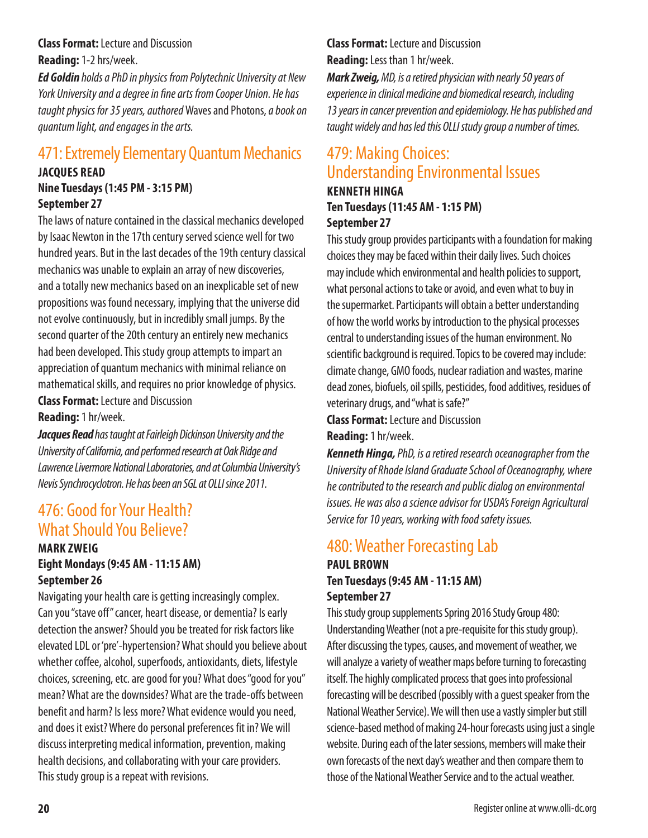**Class Format:** Lecture and Discussion **Reading:** 1-2 hrs/week.

*Ed Goldin holds a PhD in physics from Polytechnic University at New York University and a degree in fine arts from Cooper Union. He has taught physics for 35 years, authored* Waves and Photons, *a book on quantum light, and engages in the arts.*

# 471: Extremely Elementary Quantum Mechanics

#### **JACQUES READ**

**Nine Tuesdays (1:45 PM - 3:15 PM) September 27**

The laws of nature contained in the classical mechanics developed by Isaac Newton in the 17th century served science well for two hundred years. But in the last decades of the 19th century classical mechanics was unable to explain an array of new discoveries, and a totally new mechanics based on an inexplicable set of new propositions was found necessary, implying that the universe did not evolve continuously, but in incredibly small jumps. By the second quarter of the 20th century an entirely new mechanics had been developed. This study group attempts to impart an appreciation of quantum mechanics with minimal reliance on mathematical skills, and requires no prior knowledge of physics.

**Class Format:** Lecture and Discussion **Reading:** 1 hr/week.

*Jacques Read has taught at Fairleigh Dickinson University and the University of California, and performed research at Oak Ridge and Lawrence Livermore National Laboratories, and at Columbia University's Nevis Synchrocyclotron. He has been an SGL at OLLI since 2011.*

## 476: Good for Your Health? What Should You Believe?

#### **MARK ZWEIG Eight Mondays (9:45 AM - 11:15 AM) September 26**

Navigating your health care is getting increasingly complex. Can you "stave off" cancer, heart disease, or dementia? Is early detection the answer? Should you be treated for risk factors like elevated LDL or 'pre'-hypertension? What should you believe about whether coffee, alcohol, superfoods, antioxidants, diets, lifestyle choices, screening, etc. are good for you? What does "good for you" mean? What are the downsides? What are the trade-offs between benefit and harm? Is less more? What evidence would you need, and does it exist? Where do personal preferences fit in? We will discuss interpreting medical information, prevention, making health decisions, and collaborating with your care providers. This study group is a repeat with revisions.

#### **Class Format:** Lecture and Discussion **Reading:** Less than 1 hr/week.

*Mark Zweig, MD, is a retired physician with nearly 50 years of experience in clinical medicine and biomedical research, including 13 years in cancer prevention and epidemiology. He has published and taught widely and has led this OLLI study group a number of times.*

## 479: Making Choices: Understanding Environmental Issues

#### **KENNETH HINGA Ten Tuesdays (11:45 AM - 1:15 PM) September 27**

This study group provides participants with a foundation for making choices they may be faced within their daily lives. Such choices may include which environmental and health policies to support, what personal actions to take or avoid, and even what to buy in the supermarket. Participants will obtain a better understanding of how the world works by introduction to the physical processes central to understanding issues of the human environment. No scientific background is required. Topics to be covered may include: climate change, GMO foods, nuclear radiation and wastes, marine dead zones, biofuels, oil spills, pesticides, food additives, residues of veterinary drugs, and "what is safe?"

**Class Format:** Lecture and Discussion

**Reading:** 1 hr/week.

*Kenneth Hinga, PhD, is a retired research oceanographer from the University of Rhode Island Graduate School of Oceanography, where he contributed to the research and public dialog on environmental issues. He was also a science advisor for USDA's Foreign Agricultural Service for 10 years, working with food safety issues.*

#### 480: Weather Forecasting Lab **PAUL BROWN Ten Tuesdays (9:45 AM - 11:15 AM) September 27**

This study group supplements Spring 2016 Study Group 480: Understanding Weather (not a pre-requisite for this study group). After discussing the types, causes, and movement of weather, we will analyze a variety of weather maps before turning to forecasting itself. The highly complicated process that goes into professional forecasting will be described (possibly with a guest speaker from the National Weather Service). We will then use a vastly simpler but still science-based method of making 24-hour forecasts using just a single website. During each of the later sessions, members will make their own forecasts of the next day's weather and then compare them to those of the National Weather Service and to the actual weather.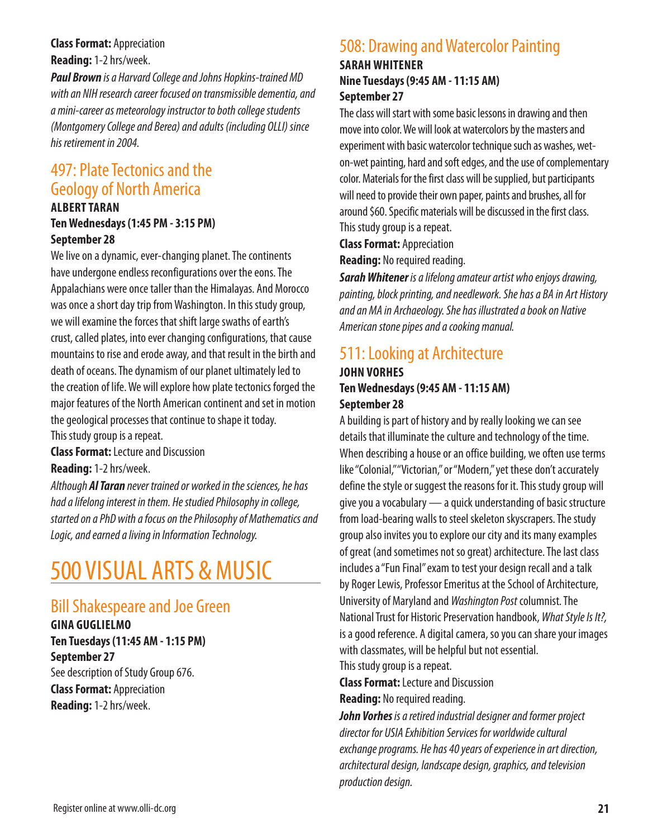#### **Class Format:** Appreciation **Reading:** 1-2 hrs/week.

*Paul Brown is a Harvard College and Johns Hopkins-trained MD with an NIH research career focused on transmissible dementia, and a mini-career as meteorology instructor to both college students (Montgomery College and Berea) and adults (including OLLI) since his retirement in 2004.*

## 497: Plate Tectonics and the Geology of North America

#### **ALBERT TARAN Ten Wednesdays (1:45 PM - 3:15 PM) September 28**

We live on a dynamic, ever-changing planet. The continents have undergone endless reconfigurations over the eons. The Appalachians were once taller than the Himalayas. And Morocco was once a short day trip from Washington. In this study group, we will examine the forces that shift large swaths of earth's crust, called plates, into ever changing configurations, that cause mountains to rise and erode away, and that result in the birth and death of oceans. The dynamism of our planet ultimately led to the creation of life. We will explore how plate tectonics forged the major features of the North American continent and set in motion the geological processes that continue to shape it today. This study group is a repeat.

**Class Format:** Lecture and Discussion

**Reading:** 1-2 hrs/week.

*Although Al Taran never trained or worked in the sciences, he has had a lifelong interest in them. He studied Philosophy in college, started on a PhD with a focus on the Philosophy of Mathematics and Logic, and earned a living in Information Technology.*

# 500 VISUAL ARTS & MUSIC

## Bill Shakespeare and Joe Green

**GINA GUGLIELMO Ten Tuesdays (11:45 AM - 1:15 PM) September 27** See description of Study Group 676. **Class Format:** Appreciation **Reading:** 1-2 hrs/week.

## 508: Drawing and Watercolor Painting

#### **SARAH WHITENER Nine Tuesdays (9:45 AM - 11:15 AM)**

#### **September 27**

The class will start with some basic lessons in drawing and then move into color. We will look at watercolors by the masters and experiment with basic watercolor technique such as washes, weton-wet painting, hard and soft edges, and the use of complementary color. Materials for the first class will be supplied, but participants will need to provide their own paper, paints and brushes, all for around \$60. Specific materials will be discussed in the first class. This study group is a repeat.

**Class Format:** Appreciation

**Reading:** No required reading.

*Sarah Whitener is a lifelong amateur artist who enjoys drawing, painting, block printing, and needlework. She has a BA in Art History and an MA in Archaeology. She has illustrated a book on Native American stone pipes and a cooking manual.*

### 511: Looking at Architecture

#### **JOHN VORHES Ten Wednesdays (9:45 AM - 11:15 AM) September 28**

A building is part of history and by really looking we can see details that illuminate the culture and technology of the time. When describing a house or an office building, we often use terms like "Colonial," "Victorian," or "Modern," yet these don't accurately define the style or suggest the reasons for it. This study group will give you a vocabulary — a quick understanding of basic structure from load-bearing walls to steel skeleton skyscrapers. The study group also invites you to explore our city and its many examples of great (and sometimes not so great) architecture. The last class includes a "Fun Final" exam to test your design recall and a talk by Roger Lewis, Professor Emeritus at the School of Architecture, University of Maryland and *Washington Post* columnist. The National Trust for Historic Preservation handbook, *What Style Is It?,*  is a good reference. A digital camera, so you can share your images with classmates, will be helpful but not essential.

This study group is a repeat.

**Class Format:** Lecture and Discussion

**Reading:** No required reading.

*John Vorhes is a retired industrial designer and former project director for USIA Exhibition Services for worldwide cultural exchange programs. He has 40 years of experience in art direction, architectural design, landscape design, graphics, and television production design.*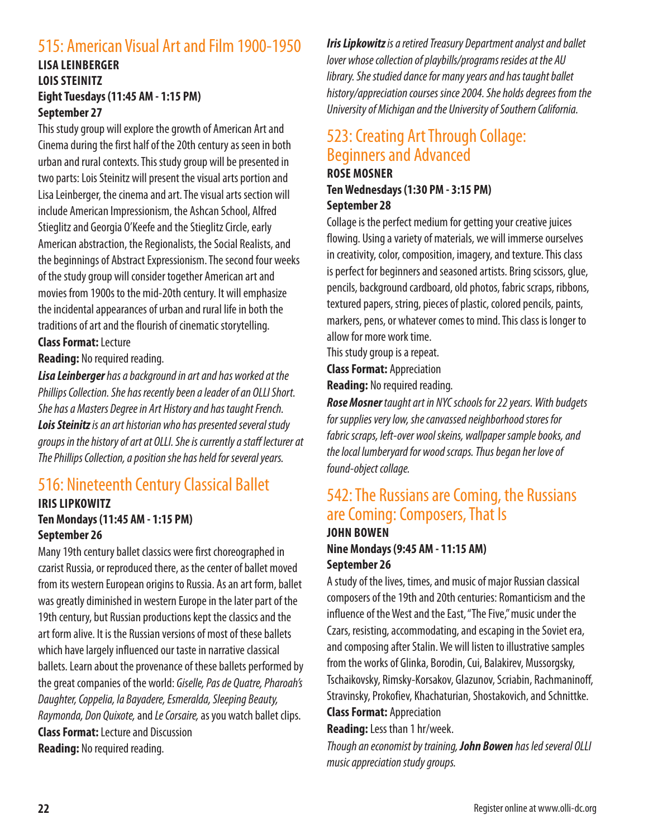### 515: American Visual Art and Film 1900-1950

#### **LISA LEINBERGER LOIS STEINITZ Eight Tuesdays (11:45 AM - 1:15 PM) September 27**

This study group will explore the growth of American Art and Cinema during the first half of the 20th century as seen in both urban and rural contexts. This study group will be presented in two parts: Lois Steinitz will present the visual arts portion and Lisa Leinberger, the cinema and art. The visual arts section will include American Impressionism, the Ashcan School, Alfred Stieglitz and Georgia O'Keefe and the Stieglitz Circle, early American abstraction, the Regionalists, the Social Realists, and the beginnings of Abstract Expressionism. The second four weeks of the study group will consider together American art and movies from 1900s to the mid-20th century. It will emphasize the incidental appearances of urban and rural life in both the traditions of art and the flourish of cinematic storytelling.

#### **Class Format:** Lecture

**Reading:** No required reading.

*Lisa Leinberger has a background in art and has worked at the Phillips Collection. She has recently been a leader of an OLLI Short. She has a Masters Degree in Art History and has taught French. Lois Steinitz is an art historian who has presented several study groups in the history of art at OLLI. She is currently a staff lecturer at The Phillips Collection, a position she has held for several years.*

## 516: Nineteenth Century Classical Ballet

#### **IRIS LIPKOWITZ**

#### **Ten Mondays (11:45 AM - 1:15 PM) September 26**

Many 19th century ballet classics were first choreographed in czarist Russia, or reproduced there, as the center of ballet moved from its western European origins to Russia. As an art form, ballet was greatly diminished in western Europe in the later part of the 19th century, but Russian productions kept the classics and the art form alive. It is the Russian versions of most of these ballets which have largely influenced our taste in narrative classical ballets. Learn about the provenance of these ballets performed by the great companies of the world: *Giselle, Pas de Quatre, Pharoah's Daughter, Coppelia, la Bayadere, Esmeralda, Sleeping Beauty, Raymonda, Don Quixote,* and *Le Corsaire,* as you watch ballet clips. **Class Format:** Lecture and Discussion **Reading:** No required reading.

*Iris Lipkowitz is a retired Treasury Department analyst and ballet lover whose collection of playbills/programs resides at the AU library. She studied dance for many years and has taught ballet history/appreciation courses since 2004. She holds degrees from the University of Michigan and the University of Southern California.*

## 523: Creating Art Through Collage: Beginners and Advanced

#### **ROSE MOSNER Ten Wednesdays (1:30 PM - 3:15 PM) September 28**

Collage is the perfect medium for getting your creative juices flowing. Using a variety of materials, we will immerse ourselves in creativity, color, composition, imagery, and texture. This class is perfect for beginners and seasoned artists. Bring scissors, glue, pencils, background cardboard, old photos, fabric scraps, ribbons, textured papers, string, pieces of plastic, colored pencils, paints, markers, pens, or whatever comes to mind. This class is longer to allow for more work time.

This study group is a repeat.

**Class Format:** Appreciation

**Reading:** No required reading.

*Rose Mosner taught art in NYC schools for 22 years. With budgets for supplies very low, she canvassed neighborhood stores for fabric scraps, left-over wool skeins, wallpaper sample books, and the local lumberyard for wood scraps. Thus began her love of found-object collage.*

#### 542: The Russians are Coming, the Russians are Coming: Composers, That Is **JOHN BOWEN**

#### **Nine Mondays (9:45 AM - 11:15 AM) September 26**

A study of the lives, times, and music of major Russian classical composers of the 19th and 20th centuries: Romanticism and the influence of the West and the East, "The Five," music under the Czars, resisting, accommodating, and escaping in the Soviet era, and composing after Stalin. We will listen to illustrative samples from the works of Glinka, Borodin, Cui, Balakirev, Mussorgsky, Tschaikovsky, Rimsky-Korsakov, Glazunov, Scriabin, Rachmaninoff, Stravinsky, Prokofiev, Khachaturian, Shostakovich, and Schnittke. **Class Format:** Appreciation

**Reading:** Less than 1 hr/week.

*Though an economist by training, John Bowen has led several OLLI music appreciation study groups.*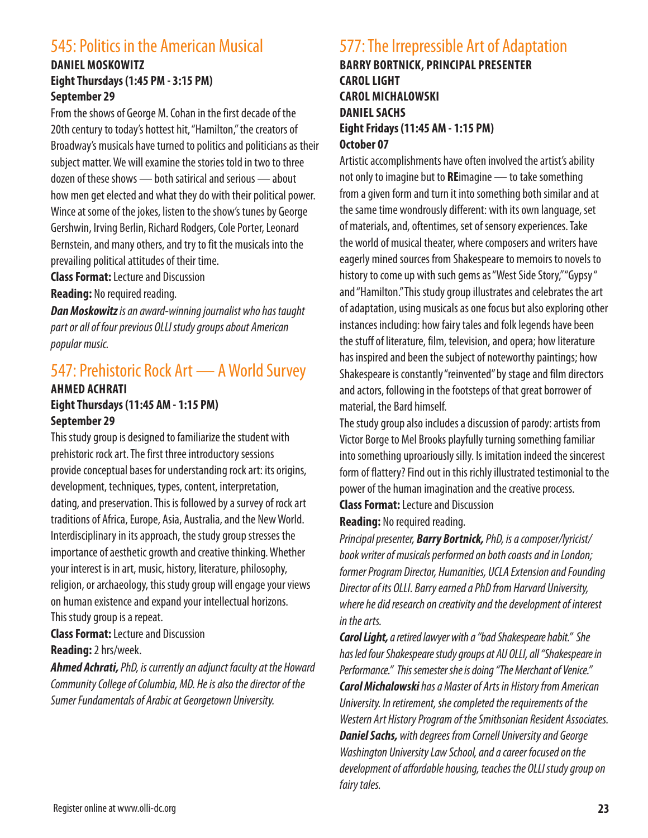## 545: Politics in the American Musical

#### **DANIEL MOSKOWITZ Eight Thursdays (1:45 PM - 3:15 PM) September 29**

From the shows of George M. Cohan in the first decade of the 20th century to today's hottest hit, "Hamilton," the creators of Broadway's musicals have turned to politics and politicians as their subject matter. We will examine the stories told in two to three dozen of these shows — both satirical and serious — about how men get elected and what they do with their political power. Wince at some of the jokes, listen to the show's tunes by George Gershwin, Irving Berlin, Richard Rodgers, Cole Porter, Leonard Bernstein, and many others, and try to fit the musicals into the prevailing political attitudes of their time.

**Class Format:** Lecture and Discussion

**Reading:** No required reading.

*Dan Moskowitz is an award-winning journalist who has taught part or all of four previous OLLI study groups about American popular music.*

## 547: Prehistoric Rock Art — A World Survey

#### **AHMED ACHRATI Eight Thursdays (11:45 AM - 1:15 PM) September 29**

This study group is designed to familiarize the student with prehistoric rock art. The first three introductory sessions provide conceptual bases for understanding rock art: its origins, development, techniques, types, content, interpretation, dating, and preservation. This is followed by a survey of rock art traditions of Africa, Europe, Asia, Australia, and the New World. Interdisciplinary in its approach, the study group stresses the importance of aesthetic growth and creative thinking. Whether your interest is in art, music, history, literature, philosophy, religion, or archaeology, this study group will engage your views on human existence and expand your intellectual horizons. This study group is a repeat.

**Class Format:** Lecture and Discussion **Reading:** 2 hrs/week.

*Ahmed Achrati, PhD, is currently an adjunct faculty at the Howard Community College of Columbia, MD. He is also the director of the Sumer Fundamentals of Arabic at Georgetown University.*

## 577: The Irrepressible Art of Adaptation

#### **BARRY BORTNICK, PRINCIPAL PRESENTER CAROL LIGHT CAROL MICHALOWSKI DANIEL SACHS Eight Fridays (11:45 AM - 1:15 PM) October 07**

Artistic accomplishments have often involved the artist's ability not only to imagine but to **RE**imagine — to take something from a given form and turn it into something both similar and at the same time wondrously different: with its own language, set of materials, and, oftentimes, set of sensory experiences. Take the world of musical theater, where composers and writers have eagerly mined sources from Shakespeare to memoirs to novels to history to come up with such gems as "West Side Story," "Gypsy " and "Hamilton." This study group illustrates and celebrates the art of adaptation, using musicals as one focus but also exploring other instances including: how fairy tales and folk legends have been the stuff of literature, film, television, and opera; how literature has inspired and been the subject of noteworthy paintings; how Shakespeare is constantly "reinvented" by stage and film directors and actors, following in the footsteps of that great borrower of material, the Bard himself.

The study group also includes a discussion of parody: artists from Victor Borge to Mel Brooks playfully turning something familiar into something uproariously silly. Is imitation indeed the sincerest form of flattery? Find out in this richly illustrated testimonial to the power of the human imagination and the creative process.

**Class Format:** Lecture and Discussion **Reading:** No required reading.

*Principal presenter, Barry Bortnick, PhD, is a composer/lyricist/ book writer of musicals performed on both coasts and in London; former Program Director, Humanities, UCLA Extension and Founding Director of its OLLI. Barry earned a PhD from Harvard University, where he did research on creativity and the development of interest in the arts.*

*Carol Light, a retired lawyer with a "bad Shakespeare habit." She has led four Shakespeare study groups at AU OLLI, all "Shakespeare in Performance." This semester she is doing "The Merchant of Venice." Carol Michalowski has a Master of Arts in History from American University. In retirement, she completed the requirements of the Western Art History Program of the Smithsonian Resident Associates. Daniel Sachs, with degrees from Cornell University and George Washington University Law School, and a career focused on the development of affordable housing, teaches the OLLI study group on fairy tales.*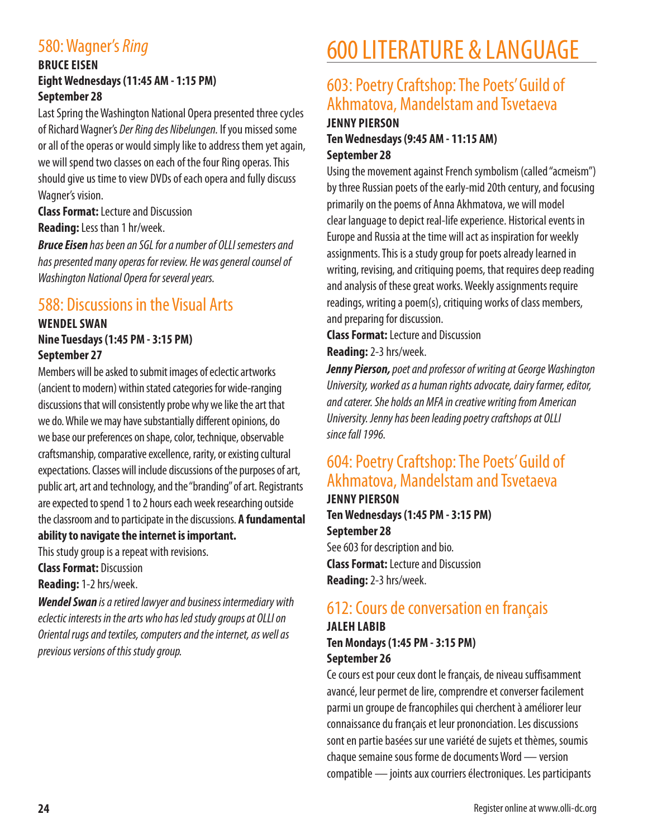## 580: Wagner's *Ring*

#### **BRUCE EISEN Eight Wednesdays (11:45 AM - 1:15 PM) September 28**

Last Spring the Washington National Opera presented three cycles of Richard Wagner's *Der Ring des Nibelungen.* If you missed some or all of the operas or would simply like to address them yet again, we will spend two classes on each of the four Ring operas. This should give us time to view DVDs of each opera and fully discuss Wagner's vision.

**Class Format:** Lecture and Discussion

**Reading:** Less than 1 hr/week.

*Bruce Eisen has been an SGL for a number of OLLI semesters and has presented many operas for review. He was general counsel of Washington National Opera for several years.*

## 588: Discussions in the Visual Arts

#### **WENDEL SWAN Nine Tuesdays (1:45 PM - 3:15 PM) September 27**

Members will be asked to submit images of eclectic artworks (ancient to modern) within stated categories for wide-ranging discussions that will consistently probe why we like the art that we do. While we may have substantially different opinions, do we base our preferences on shape, color, technique, observable craftsmanship, comparative excellence, rarity, or existing cultural expectations. Classes will include discussions of the purposes of art, public art, art and technology, and the "branding" of art. Registrants are expected to spend 1 to 2 hours each week researching outside the classroom and to participate in the discussions. **A fundamental ability to navigate the internet is important.**

This study group is a repeat with revisions.

**Class Format:** Discussion

**Reading:** 1-2 hrs/week.

*Wendel Swan is a retired lawyer and business intermediary with eclectic interests in the arts who has led study groups at OLLI on Oriental rugs and textiles, computers and the internet, as well as previous versions of this study group.*

# 600 LITERATURE & LANGUAGE

## 603: Poetry Craftshop: The Poets' Guild of Akhmatova, Mandelstam and Tsvetaeva

#### **JENNY PIERSON Ten Wednesdays (9:45 AM - 11:15 AM) September 28**

Using the movement against French symbolism (called "acmeism") by three Russian poets of the early-mid 20th century, and focusing primarily on the poems of Anna Akhmatova, we will model clear language to depict real-life experience. Historical events in Europe and Russia at the time will act as inspiration for weekly assignments. This is a study group for poets already learned in writing, revising, and critiquing poems, that requires deep reading and analysis of these great works. Weekly assignments require readings, writing a poem(s), critiquing works of class members, and preparing for discussion.

**Class Format:** Lecture and Discussion **Reading:** 2-3 hrs/week.

*Jenny Pierson, poet and professor of writing at George Washington University, worked as a human rights advocate, dairy farmer, editor, and caterer. She holds an MFA in creative writing from American University. Jenny has been leading poetry craftshops at OLLI since fall 1996.*

## 604: Poetry Craftshop: The Poets' Guild of Akhmatova, Mandelstam and Tsvetaeva

**JENNY PIERSON Ten Wednesdays (1:45 PM - 3:15 PM) September 28** See 603 for description and bio. **Class Format:** Lecture and Discussion **Reading:** 2-3 hrs/week.

#### 612: Cours de conversation en français **JALEH LABIB**

**Ten Mondays (1:45 PM - 3:15 PM) September 26**

Ce cours est pour ceux dont le français, de niveau suffisamment avancé, leur permet de lire, comprendre et converser facilement parmi un groupe de francophiles qui cherchent à améliorer leur connaissance du français et leur prononciation. Les discussions sont en partie basées sur une variété de sujets et thèmes, soumis chaque semaine sous forme de documents Word — version compatible — joints aux courriers électroniques. Les participants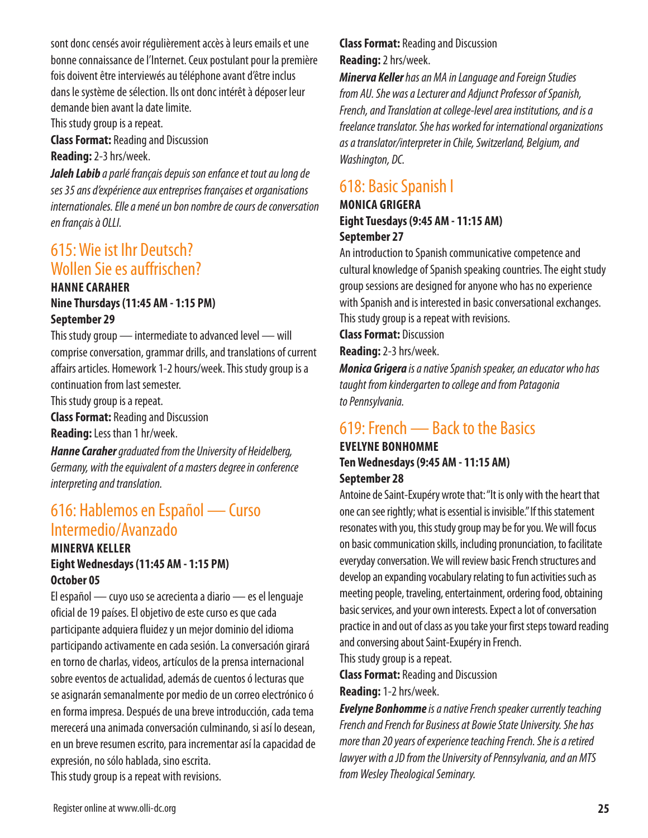sont donc censés avoir régulièrement accès à leurs emails et une bonne connaissance de l'Internet. Ceux postulant pour la première fois doivent être interviewés au téléphone avant d'être inclus dans le système de sélection. Ils ont donc intérêt à déposer leur demande bien avant la date limite.

This study group is a repeat.

**Class Format:** Reading and Discussion

**Reading:** 2-3 hrs/week.

*Jaleh Labib a parlé français depuis son enfance et tout au long de ses 35 ans d'expérience aux entreprises françaises et organisations internationales. Elle a mené un bon nombre de cours de conversation en français à OLLI.*

### 615: Wie ist Ihr Deutsch? Wollen Sie es auffrischen?

#### **HANNE CARAHER Nine Thursdays (11:45 AM - 1:15 PM) September 29**

This study group — intermediate to advanced level — will comprise conversation, grammar drills, and translations of current affairs articles. Homework 1-2 hours/week. This study group is a continuation from last semester.

This study group is a repeat.

**Class Format:** Reading and Discussion

**Reading:** Less than 1 hr/week.

*Hanne Caraher graduated from the University of Heidelberg, Germany, with the equivalent of a masters degree in conference interpreting and translation.*

### 616: Hablemos en Español — Curso Intermedio/Avanzado

#### **MINERVA KELLER Eight Wednesdays (11:45 AM - 1:15 PM) October 05**

El español — cuyo uso se acrecienta a diario — es el lenguaje oficial de 19 países. El objetivo de este curso es que cada participante adquiera fluidez y un mejor dominio del idioma participando activamente en cada sesión. La conversación girará en torno de charlas, videos, artículos de la prensa internacional sobre eventos de actualidad, además de cuentos ó lecturas que se asignarán semanalmente por medio de un correo electrónico ó en forma impresa. Después de una breve introducción, cada tema merecerá una animada conversación culminando, si así lo desean, en un breve resumen escrito, para incrementar así la capacidad de expresión, no sólo hablada, sino escrita.

This study group is a repeat with revisions.

**Class Format:** Reading and Discussion **Reading:** 2 hrs/week.

*Minerva Keller has an MA in Language and Foreign Studies from AU. She was a Lecturer and Adjunct Professor of Spanish, French, and Translation at college-level area institutions, and is a freelance translator. She has worked for international organizations as a translator/interpreter in Chile, Switzerland, Belgium, and Washington, DC.*

## 618: Basic Spanish I

#### **MONICA GRIGERA Eight Tuesdays (9:45 AM - 11:15 AM) September 27**

An introduction to Spanish communicative competence and cultural knowledge of Spanish speaking countries. The eight study group sessions are designed for anyone who has no experience with Spanish and is interested in basic conversational exchanges. This study group is a repeat with revisions.

**Class Format:** Discussion

**Reading:** 2-3 hrs/week.

*Monica Grigera is a native Spanish speaker, an educator who has taught from kindergarten to college and from Patagonia to Pennsylvania.*

## 619: French — Back to the Basics

#### **EVELYNE BONHOMME Ten Wednesdays (9:45 AM - 11:15 AM) September 28**

Antoine de Saint-Exupéry wrote that: "It is only with the heart that one can see rightly; what is essential is invisible." If this statement resonates with you, this study group may be for you. We will focus on basic communication skills, including pronunciation, to facilitate everyday conversation. We will review basic French structures and develop an expanding vocabulary relating to fun activities such as meeting people, traveling, entertainment, ordering food, obtaining basic services, and your own interests. Expect a lot of conversation practice in and out of class as you take your first steps toward reading and conversing about Saint-Exupéry in French.

This study group is a repeat.

**Class Format:** Reading and Discussion **Reading:** 1-2 hrs/week.

*Evelyne Bonhomme is a native French speaker currently teaching French and French for Business at Bowie State University. She has more than 20 years of experience teaching French. She is a retired lawyer with a JD from the University of Pennsylvania, and an MTS from Wesley Theological Seminary.*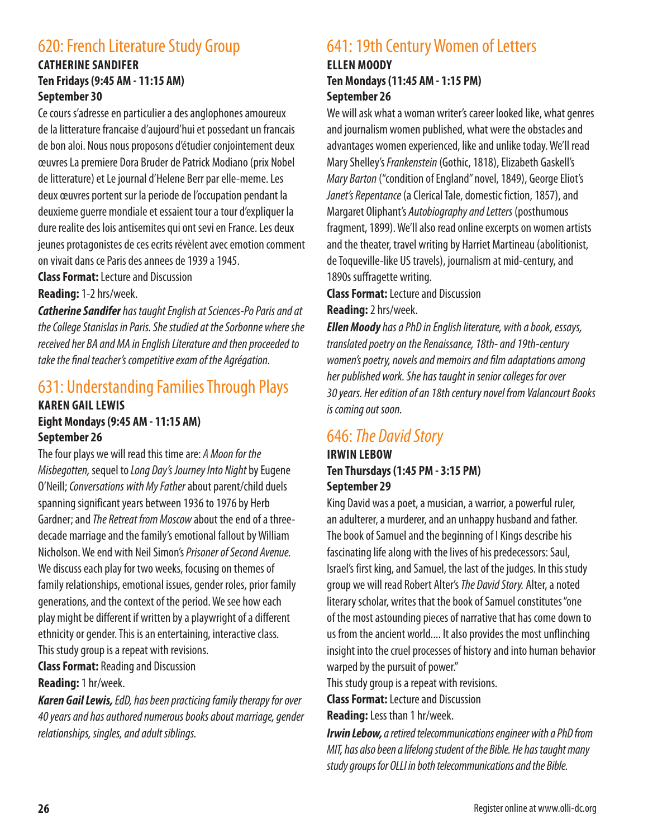## 620: French Literature Study Group

#### **CATHERINE SANDIFER Ten Fridays (9:45 AM - 11:15 AM) September 30**

Ce cours s'adresse en particulier a des anglophones amoureux de la litterature francaise d'aujourd'hui et possedant un francais de bon aloi. Nous nous proposons d'étudier conjointement deux œuvres La premiere Dora Bruder de Patrick Modiano (prix Nobel de litterature) et Le journal d'Helene Berr par elle-meme. Les deux œuvres portent sur la periode de l'occupation pendant la deuxieme guerre mondiale et essaient tour a tour d'expliquer la dure realite des lois antisemites qui ont sevi en France. Les deux jeunes protagonistes de ces ecrits révèlent avec emotion comment on vivait dans ce Paris des annees de 1939 a 1945.

**Class Format:** Lecture and Discussion

**Reading:** 1-2 hrs/week.

*Catherine Sandifer has taught English at Sciences-Po Paris and at the College Stanislas in Paris. She studied at the Sorbonne where she received her BA and MA in English Literature and then proceeded to take the final teacher's competitive exam of the Agrégation.*

## 631: Understanding Families Through Plays

#### **KAREN GAIL LEWIS Eight Mondays (9:45 AM - 11:15 AM) September 26**

The four plays we will read this time are: *A Moon for the Misbegotten,* sequel to *Long Day's Journey Into Night* by Eugene O'Neill; *Conversations with My Father* about parent/child duels spanning significant years between 1936 to 1976 by Herb Gardner; and *The Retreat from Moscow* about the end of a threedecade marriage and the family's emotional fallout by William Nicholson. We end with Neil Simon's *Prisoner of Second Avenue.*  We discuss each play for two weeks, focusing on themes of family relationships, emotional issues, gender roles, prior family generations, and the context of the period. We see how each play might be different if written by a playwright of a different ethnicity or gender. This is an entertaining, interactive class. This study group is a repeat with revisions.

**Class Format:** Reading and Discussion

#### **Reading:** 1 hr/week.

*Karen Gail Lewis, EdD, has been practicing family therapy for over 40 years and has authored numerous books about marriage, gender relationships, singles, and adult siblings.*

### 641: 19th Century Women of Letters

#### **ELLEN MOODY Ten Mondays (11:45 AM - 1:15 PM) September 26**

We will ask what a woman writer's career looked like, what genres and journalism women published, what were the obstacles and advantages women experienced, like and unlike today. We'll read Mary Shelley's *Frankenstein* (Gothic, 1818), Elizabeth Gaskell's *Mary Barton* ("condition of England" novel, 1849), George Eliot's *Janet's Repentance* (a Clerical Tale, domestic fiction, 1857), and Margaret Oliphant's *Autobiography and Letters* (posthumous fragment, 1899). We'll also read online excerpts on women artists and the theater, travel writing by Harriet Martineau (abolitionist, de Toqueville-like US travels), journalism at mid-century, and 1890s suffragette writing.

**Class Format:** Lecture and Discussion **Reading:** 2 hrs/week.

*Ellen Moody has a PhD in English literature, with a book, essays, translated poetry on the Renaissance, 18th- and 19th-century women's poetry, novels and memoirs and film adaptations among her published work. She has taught in senior colleges for over 30 years. Her edition of an 18th century novel from Valancourt Books is coming out soon.*

## 646: *The David Story*

#### **IRWIN LEBOW Ten Thursdays (1:45 PM - 3:15 PM) September 29**

King David was a poet, a musician, a warrior, a powerful ruler, an adulterer, a murderer, and an unhappy husband and father. The book of Samuel and the beginning of I Kings describe his fascinating life along with the lives of his predecessors: Saul, Israel's first king, and Samuel, the last of the judges. In this study group we will read Robert Alter's *The David Story.* Alter, a noted literary scholar, writes that the book of Samuel constitutes "one of the most astounding pieces of narrative that has come down to us from the ancient world.... It also provides the most unflinching insight into the cruel processes of history and into human behavior warped by the pursuit of power."

This study group is a repeat with revisions.

**Class Format:** Lecture and Discussion

**Reading:** Less than 1 hr/week.

*Irwin Lebow, a retired telecommunications engineer with a PhD from MIT, has also been a lifelong student of the Bible. He has taught many study groups for OLLI in both telecommunications and the Bible.*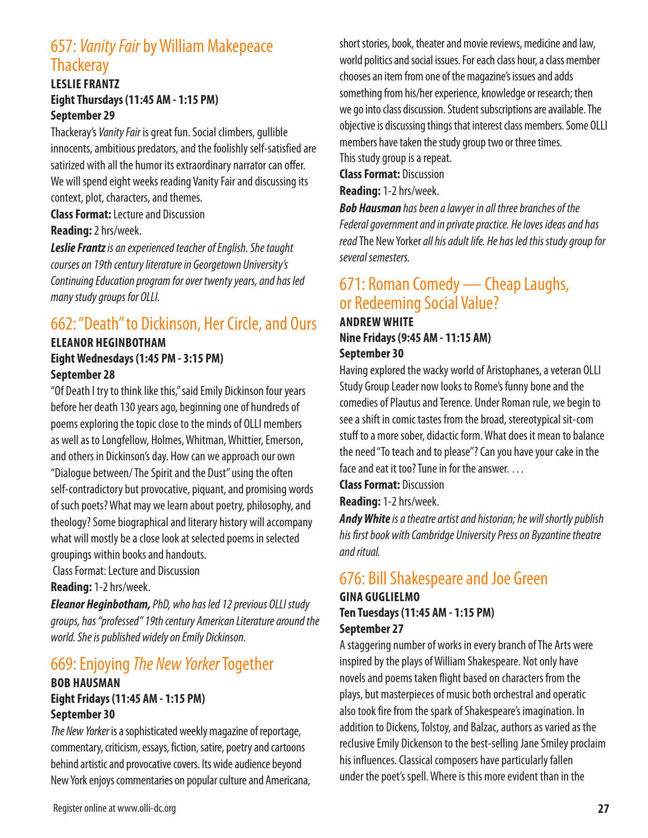## 657: *Vanity Fair* by William Makepeace **Thackeray**

#### **LESLIE FRANTZ Eight Thursdays (11:45 AM - 1:15 PM) September 29**

Thackeray's *Vanity Fair* is great fun. Social climbers, gullible innocents, ambitious predators, and the foolishly self-satisfied are satirized with all the humor its extraordinary narrator can offer. We will spend eight weeks reading Vanity Fair and discussing its context, plot, characters, and themes.

**Class Format:** Lecture and Discussion

**Reading:** 2 hrs/week.

*Leslie Frantz is an experienced teacher of English. She taught courses on 19th century literature in Georgetown University's Continuing Education program for over twenty years, and has led many study groups for OLLI.*

## 662: "Death" to Dickinson, Her Circle, and Ours

#### **ELEANOR HEGINBOTHAM Eight Wednesdays (1:45 PM - 3:15 PM) September 28**

"Of Death I try to think like this," said Emily Dickinson four years before her death 130 years ago, beginning one of hundreds of poems exploring the topic close to the minds of OLLI members as well as to Longfellow, Holmes, Whitman, Whittier, Emerson, and others in Dickinson's day. How can we approach our own "Dialogue between/ The Spirit and the Dust" using the often self-contradictory but provocative, piquant, and promising words of such poets? What may we learn about poetry, philosophy, and theology? Some biographical and literary history will accompany what will mostly be a close look at selected poems in selected groupings within books and handouts.

Class Format: Lecture and Discussion

**Reading:** 1-2 hrs/week.

*Eleanor Heginbotham, PhD, who has led 12 previous OLLI study groups, has "professed" 19th century American Literature around the world. She is published widely on Emily Dickinson.*

## 669: Enjoying *The New Yorker* Together

#### **BOB HAUSMAN Eight Fridays (11:45 AM - 1:15 PM) September 30**

*The New Yorker* is a sophisticated weekly magazine of reportage, commentary, criticism, essays, fiction, satire, poetry and cartoons behind artistic and provocative covers. Its wide audience beyond New York enjoys commentaries on popular culture and Americana, short stories, book, theater and movie reviews, medicine and law, world politics and social issues. For each class hour, a class member chooses an item from one of the magazine's issues and adds something from his/her experience, knowledge or research; then we go into class discussion. Student subscriptions are available. The objective is discussing things that interest class members. Some OLLI members have taken the study group two or three times.

This study group is a repeat.

**Class Format:** Discussion

**Reading:** 1-2 hrs/week.

*Bob Hausman has been a lawyer in all three branches of the Federal government and in private practice. He loves ideas and has read* The New Yorker *all his adult life. He has led this study group for several semesters.*

### 671: Roman Comedy — Cheap Laughs, or Redeeming Social Value?

#### **ANDREW WHITE Nine Fridays (9:45 AM - 11:15 AM) September 30**

Having explored the wacky world of Aristophanes, a veteran OLLI Study Group Leader now looks to Rome's funny bone and the comedies of Plautus and Terence. Under Roman rule, we begin to see a shift in comic tastes from the broad, stereotypical sit-com stuff to a more sober, didactic form. What does it mean to balance the need "To teach and to please"? Can you have your cake in the face and eat it too? Tune in for the answer. …

**Class Format:** Discussion

**Reading:** 1-2 hrs/week.

*Andy White is a theatre artist and historian; he will shortly publish his first book with Cambridge University Press on Byzantine theatre and ritual.*

## 676: Bill Shakespeare and Joe Green

#### **GINA GUGLIELMO Ten Tuesdays (11:45 AM - 1:15 PM) September 27**

A staggering number of works in every branch of The Arts were inspired by the plays of William Shakespeare. Not only have novels and poems taken flight based on characters from the plays, but masterpieces of music both orchestral and operatic also took fire from the spark of Shakespeare's imagination. In addition to Dickens, Tolstoy, and Balzac, authors as varied as the reclusive Emily Dickenson to the best-selling Jane Smiley proclaim his influences. Classical composers have particularly fallen under the poet's spell. Where is this more evident than in the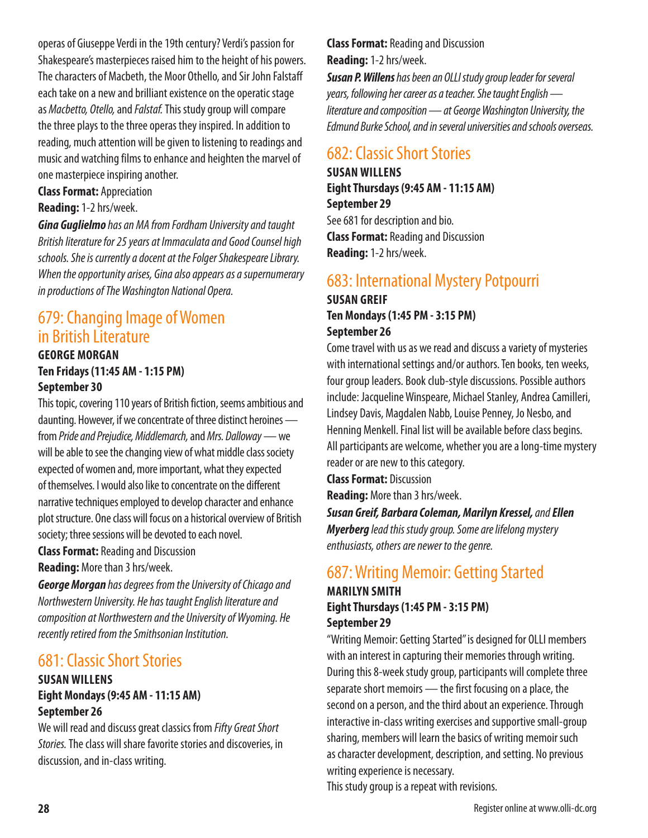operas of Giuseppe Verdi in the 19th century? Verdi's passion for Shakespeare's masterpieces raised him to the height of his powers. The characters of Macbeth, the Moor Othello, and Sir John Falstaff each take on a new and brilliant existence on the operatic stage as *Macbetto, Otello,* and *Falstaf.* This study group will compare the three plays to the three operas they inspired. In addition to reading, much attention will be given to listening to readings and music and watching films to enhance and heighten the marvel of one masterpiece inspiring another.

#### **Class Format:** Appreciation **Reading:** 1-2 hrs/week.

*Gina Guglielmo has an MA from Fordham University and taught British literature for 25 years at Immaculata and Good Counsel high schools. She is currently a docent at the Folger Shakespeare Library. When the opportunity arises, Gina also appears as a supernumerary in productions of The Washington National Opera.*

## 679: Changing Image of Women in British Literature

#### **GEORGE MORGAN Ten Fridays (11:45 AM - 1:15 PM) September 30**

This topic, covering 110 years of British fiction, seems ambitious and daunting. However, if we concentrate of three distinct heroines from *Pride and Prejudice, Middlemarch,* and *Mrs. Dalloway* — we will be able to see the changing view of what middle class society expected of women and, more important, what they expected of themselves. I would also like to concentrate on the different narrative techniques employed to develop character and enhance plot structure. One class will focus on a historical overview of British society; three sessions will be devoted to each novel.

**Class Format:** Reading and Discussion

**Reading:** More than 3 hrs/week.

*George Morgan has degrees from the University of Chicago and Northwestern University. He has taught English literature and composition at Northwestern and the University of Wyoming. He recently retired from the Smithsonian Institution.*

### 681: Classic Short Stories

#### **SUSAN WILLENS Eight Mondays (9:45 AM - 11:15 AM) September 26**

We will read and discuss great classics from *Fifty Great Short Stories.* The class will share favorite stories and discoveries, in discussion, and in-class writing.

**Class Format:** Reading and Discussion **Reading:** 1-2 hrs/week.

*Susan P. Willens has been an OLLI study group leader for several years, following her career as a teacher. She taught English literature and composition — at George Washington University, the Edmund Burke School, and in several universities and schools overseas.*

## 682: Classic Short Stories

**SUSAN WILLENS Eight Thursdays (9:45 AM - 11:15 AM) September 29** See 681 for description and bio. **Class Format:** Reading and Discussion **Reading:** 1-2 hrs/week.

## 683: International Mystery Potpourri

#### **SUSAN GREIF Ten Mondays (1:45 PM - 3:15 PM) September 26**

Come travel with us as we read and discuss a variety of mysteries with international settings and/or authors. Ten books, ten weeks, four group leaders. Book club-style discussions. Possible authors include: Jacqueline Winspeare, Michael Stanley, Andrea Camilleri, Lindsey Davis, Magdalen Nabb, Louise Penney, Jo Nesbo, and Henning Menkell. Final list will be available before class begins. All participants are welcome, whether you are a long-time mystery reader or are new to this category.

**Class Format:** Discussion

**Reading:** More than 3 hrs/week.

*Susan Greif, Barbara Coleman, Marilyn Kressel, and Ellen Myerberg lead this study group. Some are lifelong mystery enthusiasts, others are newer to the genre.*

## 687: Writing Memoir: Getting Started

#### **MARILYN SMITH Eight Thursdays (1:45 PM - 3:15 PM) September 29**

"Writing Memoir: Getting Started" is designed for OLLI members with an interest in capturing their memories through writing. During this 8-week study group, participants will complete three separate short memoirs — the first focusing on a place, the second on a person, and the third about an experience. Through interactive in-class writing exercises and supportive small-group sharing, members will learn the basics of writing memoir such as character development, description, and setting. No previous writing experience is necessary.

This study group is a repeat with revisions.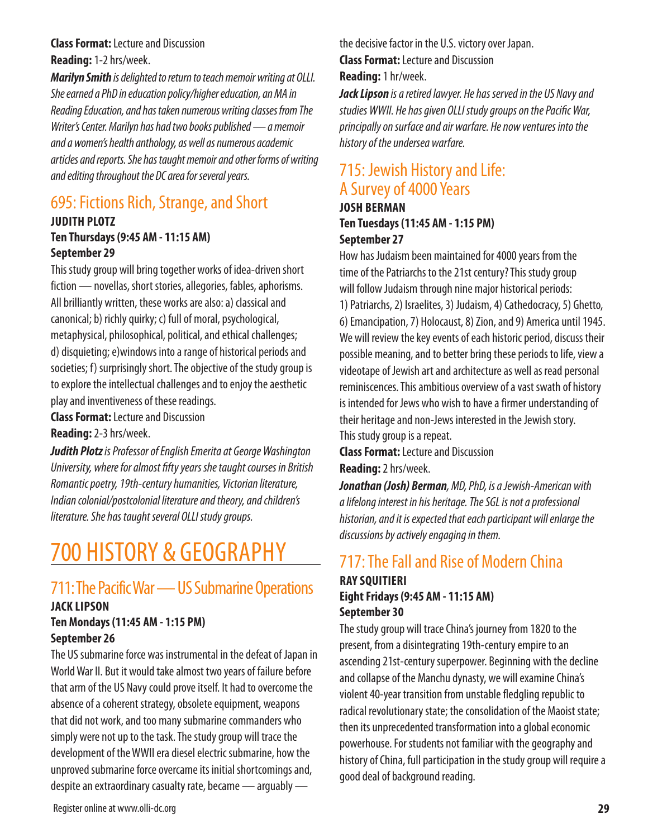**Class Format:** Lecture and Discussion **Reading:** 1-2 hrs/week.

*Marilyn Smith is delighted to return to teach memoir writing at OLLI. She earned a PhD in education policy/higher education, an MA in Reading Education, and has taken numerous writing classes from The Writer's Center. Marilyn has had two books published — a memoir and a women's health anthology, as well as numerous academic articles and reports. She has taught memoir and other forms of writing and editing throughout the DC area for several years.*

# 695: Fictions Rich, Strange, and Short

#### **JUDITH PLOTZ Ten Thursdays (9:45 AM - 11:15 AM) September 29**

This study group will bring together works of idea-driven short fiction — novellas, short stories, allegories, fables, aphorisms. All brilliantly written, these works are also: a) classical and canonical; b) richly quirky; c) full of moral, psychological, metaphysical, philosophical, political, and ethical challenges; d) disquieting; e)windows into a range of historical periods and societies; f) surprisingly short. The objective of the study group is to explore the intellectual challenges and to enjoy the aesthetic play and inventiveness of these readings.

**Class Format:** Lecture and Discussion

**Reading:** 2-3 hrs/week.

*Judith Plotz is Professor of English Emerita at George Washington University, where for almost fifty years she taught courses in British Romantic poetry, 19th-century humanities, Victorian literature, Indian colonial/postcolonial literature and theory, and children's literature. She has taught several OLLI study groups.*

# 700 HISTORY & GEOGRAPHY

# 711: The Pacific War — US Submarine Operations

#### **JACK LIPSON Ten Mondays (11:45 AM - 1:15 PM) September 26**

The US submarine force was instrumental in the defeat of Japan in World War II. But it would take almost two years of failure before that arm of the US Navy could prove itself. It had to overcome the absence of a coherent strategy, obsolete equipment, weapons that did not work, and too many submarine commanders who simply were not up to the task. The study group will trace the development of the WWII era diesel electric submarine, how the unproved submarine force overcame its initial shortcomings and, despite an extraordinary casualty rate, became — arguably —

the decisive factor in the U.S. victory over Japan. **Class Format:** Lecture and Discussion **Reading:** 1 hr/week.

*Jack Lipson is a retired lawyer. He has served in the US Navy and studies WWII. He has given OLLI study groups on the Pacific War, principally on surface and air warfare. He now ventures into the history of the undersea warfare.*

#### 715: Jewish History and Life: A Survey of 4000 Years **JOSH BERMAN**

### **Ten Tuesdays (11:45 AM - 1:15 PM) September 27**

How has Judaism been maintained for 4000 years from the time of the Patriarchs to the 21st century? This study group will follow Judaism through nine major historical periods: 1) Patriarchs, 2) Israelites, 3) Judaism, 4) Cathedocracy, 5) Ghetto, 6) Emancipation, 7) Holocaust, 8) Zion, and 9) America until 1945. We will review the key events of each historic period, discuss their possible meaning, and to better bring these periods to life, view a videotape of Jewish art and architecture as well as read personal reminiscences. This ambitious overview of a vast swath of history is intended for Jews who wish to have a firmer understanding of their heritage and non-Jews interested in the Jewish story. This study group is a repeat.

**Class Format:** Lecture and Discussion

**Reading:** 2 hrs/week.

*Jonathan (Josh) Berman, MD, PhD, is a Jewish-American with a lifelong interest in his heritage. The SGL is not a professional historian, and it is expected that each participant will enlarge the discussions by actively engaging in them.*

## 717: The Fall and Rise of Modern China

#### **RAY SQUITIERI Eight Fridays (9:45 AM - 11:15 AM) September 30**

The study group will trace China's journey from 1820 to the present, from a disintegrating 19th-century empire to an ascending 21st-century superpower. Beginning with the decline and collapse of the Manchu dynasty, we will examine China's violent 40-year transition from unstable fledgling republic to radical revolutionary state; the consolidation of the Maoist state; then its unprecedented transformation into a global economic powerhouse. For students not familiar with the geography and history of China, full participation in the study group will require a good deal of background reading.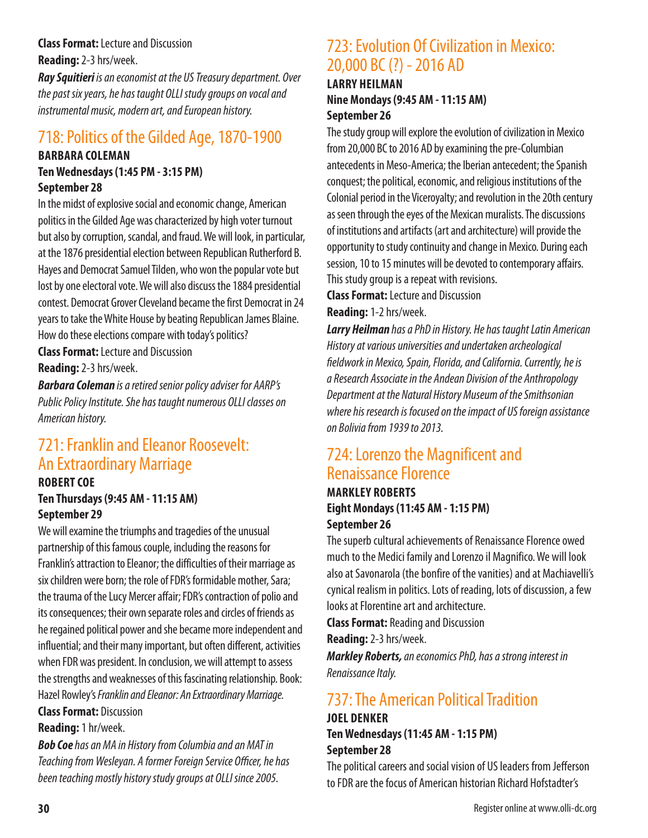**Class Format:** Lecture and Discussion **Reading:** 2-3 hrs/week.

*Ray Squitieri is an economist at the US Treasury department. Over the past six years, he has taught OLLI study groups on vocal and instrumental music, modern art, and European history.*

## 718: Politics of the Gilded Age, 1870-1900

#### **BARBARA COLEMAN Ten Wednesdays (1:45 PM - 3:15 PM) September 28**

In the midst of explosive social and economic change, American politics in the Gilded Age was characterized by high voter turnout but also by corruption, scandal, and fraud. We will look, in particular, at the 1876 presidential election between Republican Rutherford B. Hayes and Democrat Samuel Tilden, who won the popular vote but lost by one electoral vote. We will also discuss the 1884 presidential contest. Democrat Grover Cleveland became the first Democrat in 24 years to take the White House by beating Republican James Blaine. How do these elections compare with today's politics?

**Class Format:** Lecture and Discussion **Reading:** 2-3 hrs/week.

*Barbara Coleman is a retired senior policy adviser for AARP's Public Policy Institute. She has taught numerous OLLI classes on American history.*

## 721: Franklin and Eleanor Roosevelt: An Extraordinary Marriage

#### **ROBERT COE Ten Thursdays (9:45 AM - 11:15 AM) September 29**

We will examine the triumphs and tragedies of the unusual partnership of this famous couple, including the reasons for Franklin's attraction to Eleanor; the difficulties of their marriage as six children were born; the role of FDR's formidable mother, Sara; the trauma of the Lucy Mercer affair; FDR's contraction of polio and its consequences; their own separate roles and circles of friends as he regained political power and she became more independent and influential; and their many important, but often different, activities when FDR was president. In conclusion, we will attempt to assess the strengths and weaknesses of this fascinating relationship. Book: Hazel Rowley's *Franklin and Eleanor: An Extraordinary Marriage.*

#### **Class Format:** Discussion

**Reading:** 1 hr/week.

*Bob Coe has an MA in History from Columbia and an MAT in Teaching from Wesleyan. A former Foreign Service Officer, he has been teaching mostly history study groups at OLLI since 2005.*

## 723: Evolution Of Civilization in Mexico: 20,000 BC (?) - 2016 AD

#### **LARRY HEILMAN Nine Mondays (9:45 AM - 11:15 AM) September 26**

The study group will explore the evolution of civilization in Mexico from 20,000 BC to 2016 AD by examining the pre-Columbian antecedents in Meso-America; the Iberian antecedent; the Spanish conquest; the political, economic, and religious institutions of the Colonial period in the Viceroyalty; and revolution in the 20th century as seen through the eyes of the Mexican muralists. The discussions of institutions and artifacts (art and architecture) will provide the opportunity to study continuity and change in Mexico. During each session, 10 to 15 minutes will be devoted to contemporary affairs. This study group is a repeat with revisions.

**Class Format:** Lecture and Discussion **Reading:** 1-2 hrs/week.

*Larry Heilman has a PhD in History. He has taught Latin American History at various universities and undertaken archeological fieldwork in Mexico, Spain, Florida, and California. Currently, he is a Research Associate in the Andean Division of the Anthropology Department at the Natural History Museum of the Smithsonian where his research is focused on the impact of US foreign assistance on Bolivia from 1939 to 2013.*

## 724: Lorenzo the Magnificent and Renaissance Florence

#### **MARKLEY ROBERTS Eight Mondays (11:45 AM - 1:15 PM) September 26**

The superb cultural achievements of Renaissance Florence owed much to the Medici family and Lorenzo il Magnifico. We will look also at Savonarola (the bonfire of the vanities) and at Machiavelli's cynical realism in politics. Lots of reading, lots of discussion, a few looks at Florentine art and architecture.

**Class Format:** Reading and Discussion

**Reading:** 2-3 hrs/week.

*Markley Roberts, an economics PhD, has a strong interest in Renaissance Italy.*

## 737: The American Political Tradition

#### **JOEL DENKER Ten Wednesdays (11:45 AM - 1:15 PM) September 28**

The political careers and social vision of US leaders from Jefferson to FDR are the focus of American historian Richard Hofstadter's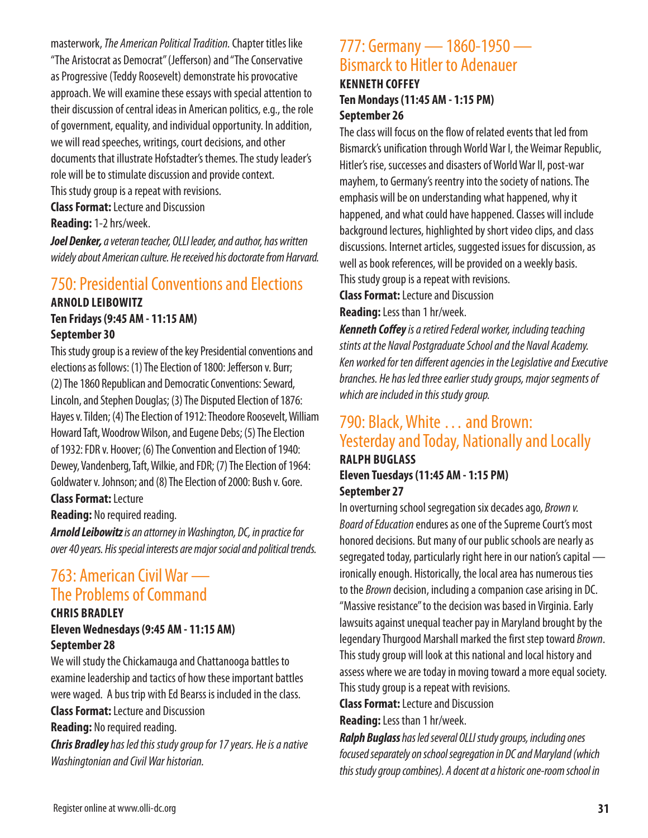masterwork, *The American Political Tradition.* Chapter titles like "The Aristocrat as Democrat" (Jefferson) and "The Conservative as Progressive (Teddy Roosevelt) demonstrate his provocative approach. We will examine these essays with special attention to their discussion of central ideas in American politics, e.g., the role of government, equality, and individual opportunity. In addition, we will read speeches, writings, court decisions, and other documents that illustrate Hofstadter's themes. The study leader's role will be to stimulate discussion and provide context. This study group is a repeat with revisions.

**Class Format:** Lecture and Discussion

**Reading:** 1-2 hrs/week.

*Joel Denker, a veteran teacher, OLLI leader, and author, has written widely about American culture. He received his doctorate from Harvard.*

## 750: Presidential Conventions and Elections

#### **ARNOLD LEIBOWITZ Ten Fridays (9:45 AM - 11:15 AM) September 30**

This study group is a review of the key Presidential conventions and elections as follows: (1) The Election of 1800: Jefferson v. Burr; (2) The 1860 Republican and Democratic Conventions: Seward, Lincoln, and Stephen Douglas; (3) The Disputed Election of 1876: Hayes v. Tilden; (4) The Election of 1912: Theodore Roosevelt, William Howard Taft, Woodrow Wilson, and Eugene Debs; (5) The Election of 1932: FDR v. Hoover; (6) The Convention and Election of 1940: Dewey, Vandenberg, Taft, Wilkie, and FDR; (7) The Election of 1964: Goldwater v. Johnson; and (8) The Election of 2000: Bush v. Gore.

**Class Format:** Lecture

**Reading:** No required reading.

*Arnold Leibowitz is an attorney in Washington, DC, in practice for over 40 years. His special interests are major social and political trends.*

## 763: American Civil War — The Problems of Command

#### **CHRIS BRADLEY Eleven Wednesdays (9:45 AM - 11:15 AM) September 28**

We will study the Chickamauga and Chattanooga battles to examine leadership and tactics of how these important battles were waged. A bus trip with Ed Bearss is included in the class. **Class Format:** Lecture and Discussion

#### **Reading:** No required reading.

*Chris Bradley has led this study group for 17 years. He is a native Washingtonian and Civil War historian.*

### 777: Germany — 1860-1950 — Bismarck to Hitler to Adenauer

#### **KENNETH COFFEY Ten Mondays (11:45 AM - 1:15 PM) September 26**

The class will focus on the flow of related events that led from Bismarck's unification through World War I, the Weimar Republic, Hitler's rise, successes and disasters of World War II, post-war mayhem, to Germany's reentry into the society of nations. The emphasis will be on understanding what happened, why it happened, and what could have happened. Classes will include background lectures, highlighted by short video clips, and class discussions. Internet articles, suggested issues for discussion, as well as book references, will be provided on a weekly basis. This study group is a repeat with revisions.

**Class Format:** Lecture and Discussion **Reading:** Less than 1 hr/week.

*Kenneth Coffey is a retired Federal worker, including teaching stints at the Naval Postgraduate School and the Naval Academy. Ken worked for ten different agencies in the Legislative and Executive branches. He has led three earlier study groups, major segments of which are included in this study group.*

### 790: Black, White … and Brown: Yesterday and Today, Nationally and Locally

#### **RALPH BUGLASS Eleven Tuesdays (11:45 AM - 1:15 PM) September 27**

In overturning school segregation six decades ago, *Brown v. Board of Education* endures as one of the Supreme Court's most honored decisions. But many of our public schools are nearly as segregated today, particularly right here in our nation's capital ironically enough. Historically, the local area has numerous ties to the *Brown* decision, including a companion case arising in DC. "Massive resistance" to the decision was based in Virginia. Early lawsuits against unequal teacher pay in Maryland brought by the legendary Thurgood Marshall marked the first step toward *Brown*. This study group will look at this national and local history and assess where we are today in moving toward a more equal society. This study group is a repeat with revisions.

**Class Format:** Lecture and Discussion **Reading:** Less than 1 hr/week.

*Ralph Buglass has led several OLLI study groups, including ones focused separately on school segregation in DC and Maryland (which this study group combines). A docent at a historic one-room school in*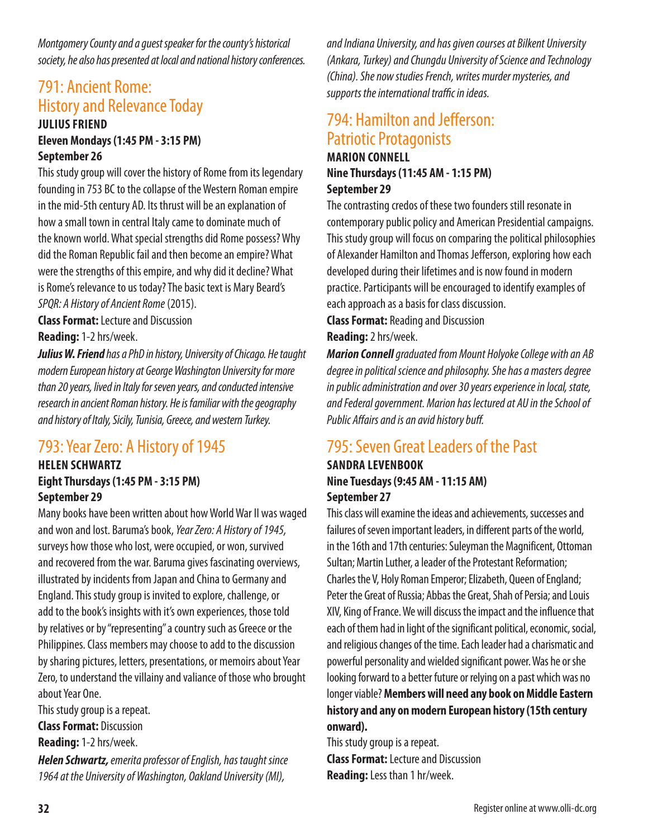*Montgomery County and a guest speaker for the county's historical society, he also has presented at local and national history conferences.*

## 791: Ancient Rome: History and Relevance Today

#### **JULIUS FRIEND Eleven Mondays (1:45 PM - 3:15 PM) September 26**

This study group will cover the history of Rome from its legendary founding in 753 BC to the collapse of the Western Roman empire in the mid-5th century AD. Its thrust will be an explanation of how a small town in central Italy came to dominate much of the known world. What special strengths did Rome possess? Why did the Roman Republic fail and then become an empire? What were the strengths of this empire, and why did it decline? What is Rome's relevance to us today? The basic text is Mary Beard's *SPQR: A History of Ancient Rome* (2015).

**Class Format:** Lecture and Discussion **Reading:** 1-2 hrs/week.

*Julius W. Friend has a PhD in history, University of Chicago. He taught modern European history at George Washington University for more than 20 years, lived in Italy for seven years, and conducted intensive research in ancient Roman history. He is familiar with the geography and history of Italy, Sicily, Tunisia, Greece, and western Turkey.*

## 793: Year Zero: A History of 1945

#### **HELEN SCHWARTZ Eight Thursdays (1:45 PM - 3:15 PM) September 29**

Many books have been written about how World War II was waged and won and lost. Baruma's book, *Year Zero: A History of 1945,*  surveys how those who lost, were occupied, or won, survived and recovered from the war. Baruma gives fascinating overviews, illustrated by incidents from Japan and China to Germany and England. This study group is invited to explore, challenge, or add to the book's insights with it's own experiences, those told by relatives or by "representing" a country such as Greece or the Philippines. Class members may choose to add to the discussion by sharing pictures, letters, presentations, or memoirs about Year Zero, to understand the villainy and valiance of those who brought about Year One.

This study group is a repeat.

**Class Format:** Discussion

**Reading:** 1-2 hrs/week.

*Helen Schwartz, emerita professor of English, has taught since 1964 at the University of Washington, Oakland University (MI),* 

*and Indiana University, and has given courses at Bilkent University (Ankara, Turkey) and Chungdu University of Science and Technology (China). She now studies French, writes murder mysteries, and supports the international traffic in ideas.*

## 794: Hamilton and Jefferson: Patriotic Protagonists

#### **MARION CONNELL Nine Thursdays (11:45 AM - 1:15 PM) September 29**

The contrasting credos of these two founders still resonate in contemporary public policy and American Presidential campaigns. This study group will focus on comparing the political philosophies of Alexander Hamilton and Thomas Jefferson, exploring how each developed during their lifetimes and is now found in modern practice. Participants will be encouraged to identify examples of each approach as a basis for class discussion.

**Class Format:** Reading and Discussion **Reading:** 2 hrs/week.

*Marion Connell graduated from Mount Holyoke College with an AB degree in political science and philosophy. She has a masters degree in public administration and over 30 years experience in local, state, and Federal government. Marion has lectured at AU in the School of Public Affairs and is an avid history buff.*

## 795: Seven Great Leaders of the Past

#### **SANDRA LEVENBOOK Nine Tuesdays (9:45 AM - 11:15 AM) September 27**

This class will examine the ideas and achievements, successes and failures of seven important leaders, in different parts of the world, in the 16th and 17th centuries: Suleyman the Magnificent, Ottoman Sultan; Martin Luther, a leader of the Protestant Reformation; Charles the V, Holy Roman Emperor; Elizabeth, Queen of England; Peter the Great of Russia; Abbas the Great, Shah of Persia; and Louis XIV, King of France. We will discuss the impact and the influence that each of them had in light of the significant political, economic, social, and religious changes of the time. Each leader had a charismatic and powerful personality and wielded significant power. Was he or she looking forward to a better future or relying on a past which was no longer viable? **Members will need any book on Middle Eastern history and any on modern European history (15th century onward).**

This study group is a repeat. **Class Format:** Lecture and Discussion **Reading:** Less than 1 hr/week.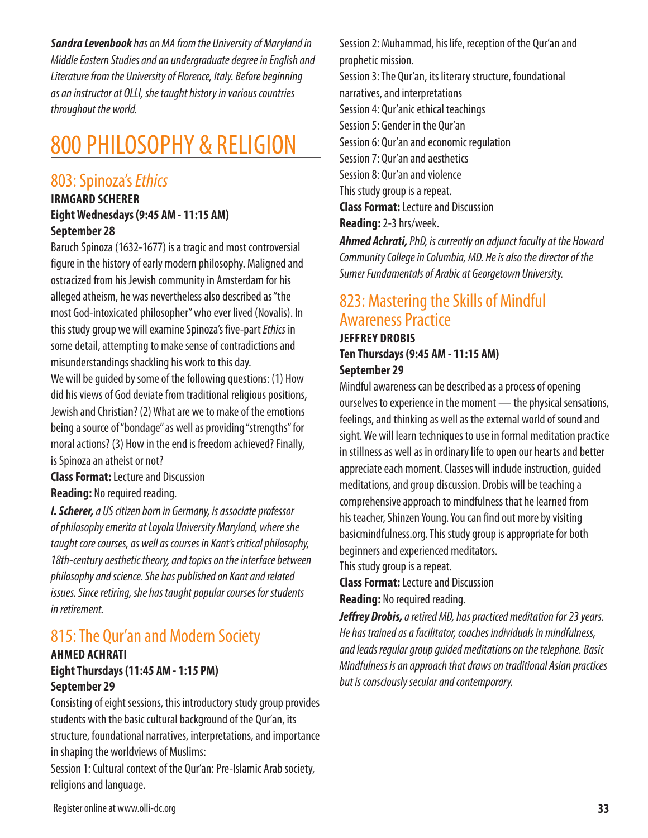*Sandra Levenbook has an MA from the University of Maryland in Middle Eastern Studies and an undergraduate degree in English and Literature from the University of Florence, Italy. Before beginning as an instructor at OLLI, she taught history in various countries throughout the world.*

# 800 PHILOSOPHY & RELIGION

## 803: Spinoza's *Ethics*

#### **IRMGARD SCHERER Eight Wednesdays (9:45 AM - 11:15 AM) September 28**

Baruch Spinoza (1632-1677) is a tragic and most controversial figure in the history of early modern philosophy. Maligned and ostracized from his Jewish community in Amsterdam for his alleged atheism, he was nevertheless also described as "the most God-intoxicated philosopher" who ever lived (Novalis). In this study group we will examine Spinoza's five-part *Ethics* in some detail, attempting to make sense of contradictions and misunderstandings shackling his work to this day.

We will be guided by some of the following questions: (1) How did his views of God deviate from traditional religious positions, Jewish and Christian? (2) What are we to make of the emotions being a source of "bondage" as well as providing "strengths" for moral actions? (3) How in the end is freedom achieved? Finally, is Spinoza an atheist or not?

**Class Format:** Lecture and Discussion **Reading:** No required reading.

*I. Scherer, a US citizen born in Germany, is associate professor of philosophy emerita at Loyola University Maryland, where she taught core courses, as well as courses in Kant's critical philosophy, 18th-century aesthetic theory, and topics on the interface between philosophy and science. She has published on Kant and related issues. Since retiring, she has taught popular courses for students in retirement.*

## 815: The Qur'an and Modern Society

#### **AHMED ACHRATI Eight Thursdays (11:45 AM - 1:15 PM) September 29**

Consisting of eight sessions, this introductory study group provides students with the basic cultural background of the Qur'an, its structure, foundational narratives, interpretations, and importance in shaping the worldviews of Muslims:

Session 1: Cultural context of the Qur'an: Pre-Islamic Arab society, religions and language.

Session 2: Muhammad, his life, reception of the Qur'an and prophetic mission.

Session 3: The Qur'an, its literary structure, foundational narratives, and interpretations Session 4: Qur'anic ethical teachings Session 5: Gender in the Qur'an Session 6: Qur'an and economic regulation Session 7: Qur'an and aesthetics Session 8: Qur'an and violence This study group is a repeat. **Class Format:** Lecture and Discussion **Reading:** 2-3 hrs/week.

*Ahmed Achrati, PhD, is currently an adjunct faculty at the Howard Community College in Columbia, MD. He is also the director of the Sumer Fundamentals of Arabic at Georgetown University.*

## 823: Mastering the Skills of Mindful Awareness Practice

#### **JEFFREY DROBIS Ten Thursdays (9:45 AM - 11:15 AM) September 29**

Mindful awareness can be described as a process of opening ourselves to experience in the moment — the physical sensations, feelings, and thinking as well as the external world of sound and sight. We will learn techniques to use in formal meditation practice in stillness as well as in ordinary life to open our hearts and better appreciate each moment. Classes will include instruction, guided meditations, and group discussion. Drobis will be teaching a comprehensive approach to mindfulness that he learned from his teacher, Shinzen Young. You can find out more by visiting basicmindfulness.org. This study group is appropriate for both beginners and experienced meditators.

This study group is a repeat.

**Class Format:** Lecture and Discussion **Reading:** No required reading.

*Jeffrey Drobis, a retired MD, has practiced meditation for 23 years. He has trained as a facilitator, coaches individuals in mindfulness, and leads regular group guided meditations on the telephone. Basic Mindfulness is an approach that draws on traditional Asian practices but is consciously secular and contemporary.*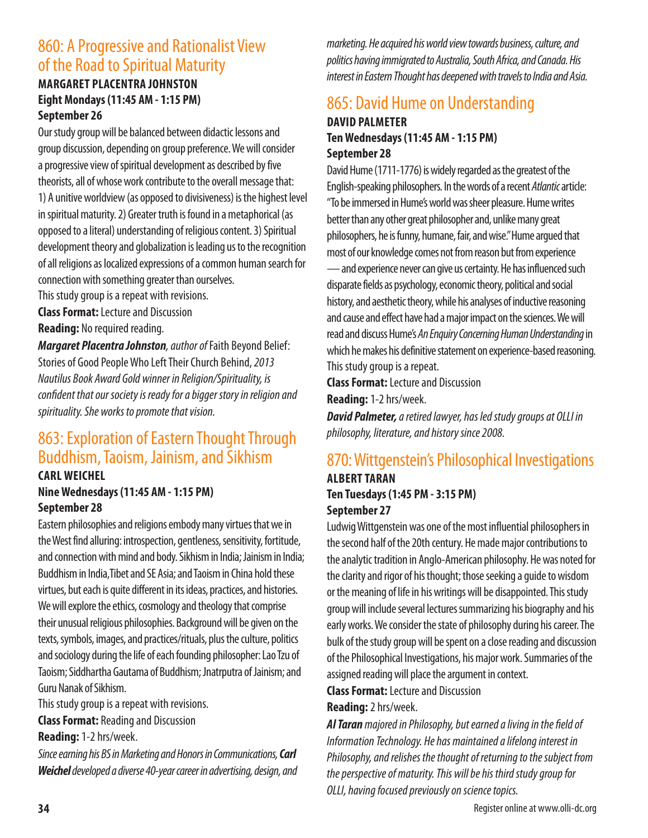## 860: A Progressive and Rationalist View of the Road to Spiritual Maturity

#### **MARGARET PLACENTRA JOHNSTON Eight Mondays (11:45 AM - 1:15 PM) September 26**

Our study group will be balanced between didactic lessons and group discussion, depending on group preference. We will consider a progressive view of spiritual development as described by five theorists, all of whose work contribute to the overall message that: 1) A unitive worldview (as opposed to divisiveness) is the highest level in spiritual maturity. 2) Greater truth is found in a metaphorical (as opposed to a literal) understanding of religious content. 3) Spiritual development theory and globalization is leading us to the recognition of all religions as localized expressions of a common human search for connection with something greater than ourselves.

This study group is a repeat with revisions.

**Class Format:** Lecture and Discussion

**Reading:** No required reading.

*Margaret Placentra Johnston, author of* Faith Beyond Belief: Stories of Good People Who Left Their Church Behind, *2013 Nautilus Book Award Gold winner in Religion/Spirituality, is confident that our society is ready for a bigger story in religion and spirituality. She works to promote that vision.*

## 863: Exploration of Eastern Thought Through Buddhism, Taoism, Jainism, and Sikhism

#### **CARL WEICHEL Nine Wednesdays (11:45 AM - 1:15 PM) September 28**

Eastern philosophies and religions embody many virtues that we in the West find alluring: introspection, gentleness, sensitivity, fortitude, and connection with mind and body. Sikhism in India; Jainism in India; Buddhism in India,Tibet and SE Asia; and Taoism in China hold these virtues, but each is quite different in its ideas, practices, and histories. We will explore the ethics, cosmology and theology that comprise their unusual religious philosophies. Background will be given on the texts, symbols, images, and practices/rituals, plus the culture, politics and sociology during the life of each founding philosopher: Lao Tzu of Taoism; Siddhartha Gautama of Buddhism; Jnatrputra of Jainism; and Guru Nanak of Sikhism.

This study group is a repeat with revisions.

**Class Format:** Reading and Discussion

**Reading:** 1-2 hrs/week.

*Since earning his BS in Marketing and Honors in Communications, Carl Weichel developed a diverse 40-year career in advertising, design, and*  *marketing. He acquired his world view towards business, culture, and politics having immigrated to Australia, South Africa, and Canada. His interest in Eastern Thought has deepened with travels to India and Asia.*

## 865: David Hume on Understanding

#### **DAVID PALMETER Ten Wednesdays (11:45 AM - 1:15 PM) September 28**

David Hume (1711-1776) is widely regarded as the greatest of the English-speaking philosophers. In the words of a recent *Atlantic* article: "To be immersed in Hume's world was sheer pleasure. Hume writes better than any other great philosopher and, unlike many great philosophers, he is funny, humane, fair, and wise." Hume argued that most of our knowledge comes not from reason but from experience — and experience never can give us certainty. He has influenced such disparate fields as psychology, economic theory, political and social history, and aesthetic theory, while his analyses of inductive reasoning and cause and effect have had a major impact on the sciences. We will read and discuss Hume's *An Enquiry Concerning Human Understanding* in which he makes his definitive statement on experience-based reasoning. This study group is a repeat.

**Class Format:** Lecture and Discussion

**Reading:** 1-2 hrs/week.

*David Palmeter, a retired lawyer, has led study groups at OLLI in philosophy, literature, and history since 2008.*

## 870: Wittgenstein's Philosophical Investigations

#### **ALBERT TARAN Ten Tuesdays (1:45 PM - 3:15 PM) September 27**

Ludwig Wittgenstein was one of the most influential philosophers in the second half of the 20th century. He made major contributions to the analytic tradition in Anglo-American philosophy. He was noted for the clarity and rigor of his thought; those seeking a guide to wisdom or the meaning of life in his writings will be disappointed. This study group will include several lectures summarizing his biography and his early works. We consider the state of philosophy during his career. The bulk of the study group will be spent on a close reading and discussion of the Philosophical Investigations, his major work. Summaries of the assigned reading will place the argument in context.

**Class Format:** Lecture and Discussion

#### **Reading:** 2 hrs/week.

*Al Taran majored in Philosophy, but earned a living in the field of Information Technology. He has maintained a lifelong interest in Philosophy, and relishes the thought of returning to the subject from the perspective of maturity. This will be his third study group for OLLI, having focused previously on science topics.*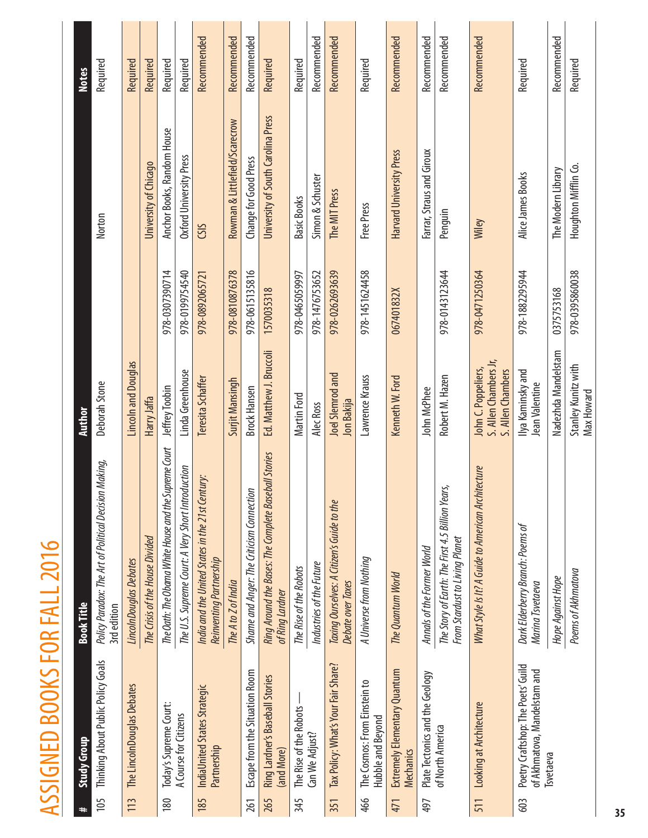| ì |   |  |
|---|---|--|
|   |   |  |
|   |   |  |
|   |   |  |
|   | 1 |  |
|   |   |  |
|   |   |  |
|   |   |  |
|   |   |  |
|   |   |  |
|   |   |  |
|   |   |  |
|   |   |  |
|   |   |  |
|   |   |  |
| ľ |   |  |
| C |   |  |
|   |   |  |
|   |   |  |
|   |   |  |
| ï |   |  |
| i |   |  |
| i |   |  |
|   |   |  |

|     | ASSIGNED BOOKS FOR FALL 2016                                       |                                                                                    |                                                                   |                |                                    |              |
|-----|--------------------------------------------------------------------|------------------------------------------------------------------------------------|-------------------------------------------------------------------|----------------|------------------------------------|--------------|
|     | <b>Study Group</b>                                                 | <b>Book Title</b>                                                                  | <b>Author</b>                                                     |                |                                    | <b>Notes</b> |
| 105 | Thinking About Public Policy Goals                                 | Policy Paradox: The Art of Political Decision Making,<br>3rd edition               | Deborah Stone                                                     |                | Norton                             | Required     |
| 113 | The LincolnDouglas Debates                                         | LincolnDouglas Debates                                                             | Lincoln and Douglas                                               |                |                                    | Required     |
|     |                                                                    | The Crisis of the House Divided                                                    | Harry Jaffa                                                       |                | University of Chicago              | Required     |
| 180 | Today's Supreme Court:                                             | The Oath: The Obama White House and the Supreme Court                              | Jeffrey Toobin                                                    | 978-0307390714 | Anchor Books, Random House         | Required     |
|     | A Course for Citizens                                              | The U.S. Supreme Court: A Very Short Introduction                                  | Linda Greenhouse                                                  | 978-0199754540 | Oxford University Press            | Required     |
| 185 | IndiaUnited States Strategic<br>Partnership                        | India and the United States in the 21st Century:<br>Reinventing Partnership        | Teresita Schaffer                                                 | 978-0892065721 | CSIS                               | Recommended  |
|     |                                                                    | The A to Z of India                                                                | Surjit Mansingh                                                   | 978-0810876378 | Rowman & Littlefield/Scarecrow     | Recommended  |
| 261 | Escape from the Situation Room                                     | Shame and Anger: The Criticism Connection                                          | <b>Brock Hansen</b>                                               | 978-0615135816 | Change for Good Press              | Recommended  |
| 265 | Ring Lardner's Baseball Stories<br>(and More)                      | Ring Around the Bases: The Complete Baseball Stories<br>of Ring Lardner            | Ed. Matthew J. Bruccoli                                           | 1570035318     | University of South Carolina Press | Required     |
| 345 | The Rise of the Robots                                             | The Rise of the Robots                                                             | Martin Ford                                                       | 978-0465059997 | Basic Books                        | Required     |
|     | Can We Adjust?                                                     | Industries of the Future                                                           | Alec Ross                                                         | 978-1476753652 | Simon & Schuster                   | Recommended  |
| 351 | Tax Policy: What's Your Fair Share?                                | Taxing Ourselves: A Citizen's Guide to the<br>Debate over Taxes                    | Joel Slemrod and<br>Jon Bakija                                    | 978-0262693639 | The MIT Press                      | Recommended  |
| 466 | The Cosmos: From Einstein to<br>Hubble and Beyond                  | A Universe from Nothing                                                            | Lawrence Krauss                                                   | 978-1451624458 | Free Press                         | Required     |
| 471 | Extremely Elementary Quantum<br><b>Mechanics</b>                   | The Quantum World                                                                  | Kenneth W. Ford                                                   | 067401832X     | Harvard University Press           | Recommended  |
| 497 | Plate Tectonics and the Geology                                    | Annals of the Former World                                                         | John McPhee                                                       |                | Farrar, Straus and Giroux          | Recommended  |
|     | of North America                                                   | The Story of Earth: The First 4.5 Billion Years,<br>From Stardust to Living Planet | Robert M. Hazen                                                   | 978-0143123644 | Penguin                            | Recommended  |
| 511 | Looking at Architecture                                            | What Style Is It? A Guide to American Architecture                                 | S. Allen Chambers Jr,<br>John C. Poppeliers,<br>S. Allen Chambers | 978-0471250364 | Wiley                              | Recommended  |
| 603 | Poetry Craftshop: The Poets' Guild<br>of Akhmatova, Mandelstam and | Dark Elderberry Branch: Poems of<br>Marina Tsvetaeva                               | Ilya Kaminsky and<br>Jean Valentine                               | 978-1882295944 | Alice James Books                  | Required     |
|     | <b>Isvetaeva</b>                                                   | Hope Against Hope                                                                  | Nadezhda Mandelstam                                               | 0375753168     | The Modern Library                 | Recommended  |
|     |                                                                    | Poems of Akhmatova                                                                 | Stanley Kunitz with<br>Max Howard                                 | 978-0395860038 | Houghton Mifflin Co.               | Required     |
| 35  |                                                                    |                                                                                    |                                                                   |                |                                    |              |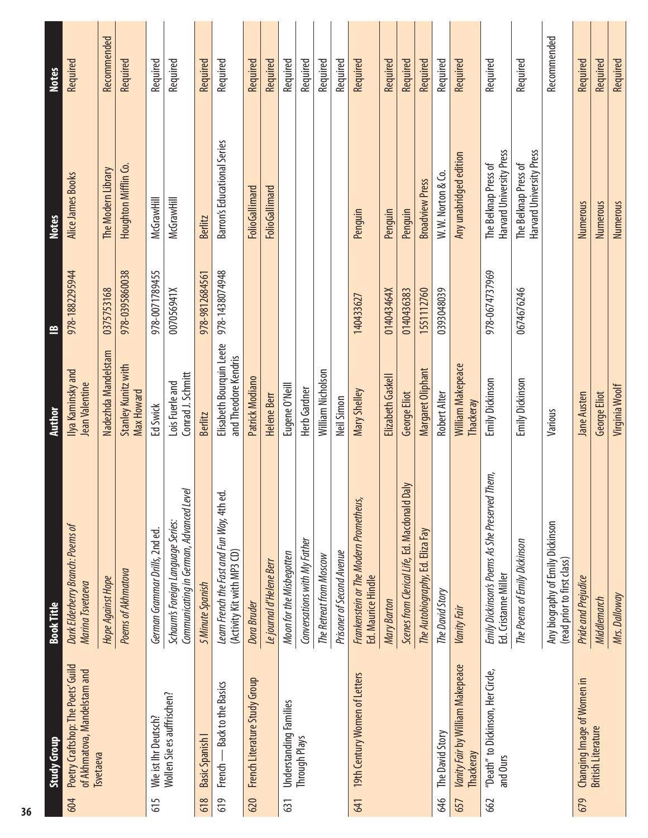|     | <b>Study Group</b>                                                              | <b>Book Title</b>                                                           | <b>Author</b>                                    | $\mathbf{r}$   | <b>Notes</b>                                     | <b>Notes</b>    |
|-----|---------------------------------------------------------------------------------|-----------------------------------------------------------------------------|--------------------------------------------------|----------------|--------------------------------------------------|-----------------|
| 604 | Poetry Craftshop: The Poets' Guild<br>of Akhmatova, Mandelstam and<br>Tsvetaeva | Dark Elderberry Branch: Poems of<br>Marina Tsvetaeva                        | Ilya Kaminsky and<br>Jean Valentine              | 978-1882295944 | Alice James Books                                | Required        |
|     |                                                                                 | Hope Against Hope                                                           | Nadezhda Mandelstam                              | 0375753168     | The Modem Library                                | Recommended     |
|     |                                                                                 | Poems of Akhmatova                                                          | Stanley Kunitz with<br>Max Howard                | 978-0395860038 | Houghton Mifflin Co.                             | Required        |
| 615 | Wie ist Ihr Deutsch?                                                            | German Grammar Drills, 2nd ed.                                              | Ed Swick                                         | 978-0071789455 | McGrawHill                                       | Required        |
|     | Wollen Sie es auffrischen?                                                      | Communicating in German, Advanced Leve<br>Schaum's Foreign Language Series: | Conrad J. Schmitt<br>Lois Fuerle and             | 007056941X     | McGrawHill                                       | Required        |
| 618 | Basic Spanish I                                                                 | 5 Minute Spanish                                                            | Berlitz                                          | 978-9812684561 | Berlitz                                          | <b>Required</b> |
| 619 | <b>Back to the Basics</b><br>French-                                            | Learn French the Fast and Fun Way, 4th ed.<br>(Activity Kit with MP3 CD)    | Elisabeth Bourquin Leete<br>and Theodore Kendris | 978-1438074948 | Barron's Educational Series                      | Required        |
| 620 | French Literature Study Group                                                   | Dora Bruder                                                                 | Patrick Modiano                                  |                | FolioGallimard                                   | Required        |
|     |                                                                                 | Le journal d'Helene Berr                                                    | Helene Berr                                      |                | FolioGallimard                                   | Required        |
| 631 | Understanding Families                                                          | Moon for the Misbegotten                                                    | Eugene O'Neill                                   |                |                                                  | Required        |
|     | <b>Through Plays</b>                                                            | Conversations with My Father                                                | Herb Gardner                                     |                |                                                  | Required        |
|     |                                                                                 | The Retreat from Moscow                                                     | William Nicholson                                |                |                                                  | Required        |
|     |                                                                                 | Prisoner of Second Avenue                                                   | Neil Simon                                       |                |                                                  | Required        |
| 641 | 19th Century Women of Letters                                                   | Frankenstein or The Modern Prometheus,<br>Ed. Maurice Hindle                | Mary Shelley                                     | 140433627      | Penguin                                          | Required        |
|     |                                                                                 | Mary Barton                                                                 | Elizabeth Gaskell                                | 014043464X     | Penquin                                          | Required        |
|     |                                                                                 | Scenes from Clerical Life, Ed. Macdonald Daly                               | George Eliot                                     | 0140436383     | Penquin                                          | Required        |
|     |                                                                                 | The Autobiography, Ed. Eliza Fay                                            | Margaret Oliphant                                | 1551112760     | <b>Broadview Press</b>                           | Required        |
| 646 | The David Story                                                                 | The David Story                                                             | Robert Alter                                     | 0393048039     | W.W. Norton & Co.                                | Required        |
| 657 | Vanity Fair by William Makepeace<br>Thackeray                                   | Vanity Fair                                                                 | William Makepeace<br>Thackeray                   |                | Any unabridged edition                           | Required        |
| 662 | "Death" to Dickinson, Her Circle,<br>and Ours                                   | Emily Dickinson's Poems As She Preserved Them,<br>Ed. Cristanne Miller      | Emily Dickinson                                  | 978-0674737969 | Harvard University Press<br>The Belknap Press of | Required        |
|     |                                                                                 | The Poems of Emily Dickinson                                                | Emily Dickinson                                  | 0674676246     | Harvard University Press<br>The Belknap Press of | Required        |
|     |                                                                                 | Any biography of Emily Dickinson<br>(read prior to first class)             | Various                                          |                |                                                  | Recommended     |
| 679 | Changing Image of Women in                                                      | Pride and Prejudice                                                         | Jane Austen                                      |                | Numerous                                         | Required        |
|     | <b>British Literature</b>                                                       | Middlemarch                                                                 | <b>George Eliot</b>                              |                | Numerous                                         | Required        |
|     |                                                                                 | Mrs. Dalloway                                                               | Virginia Woolf                                   |                | <b>Numerous</b>                                  | Required        |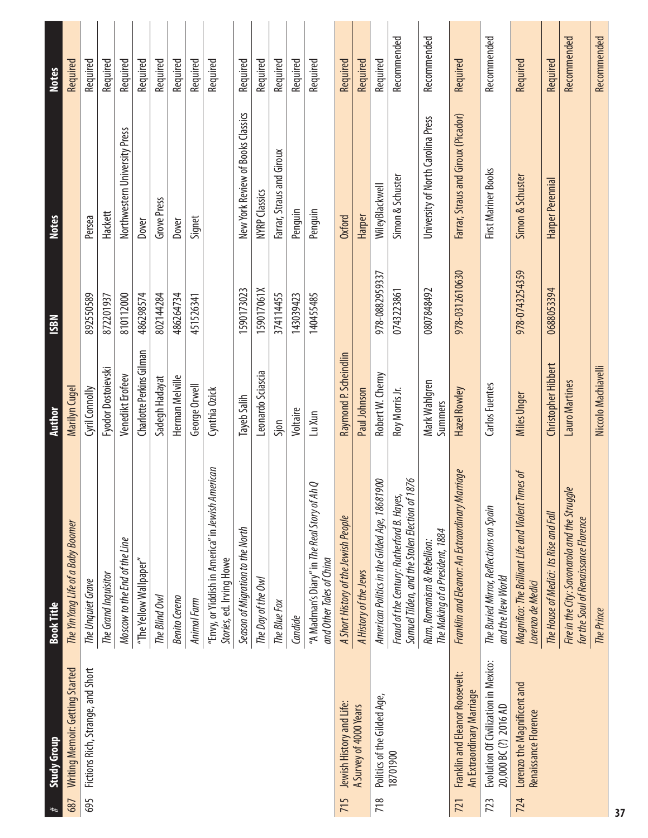| $_{\#}$ | <b>Study Group</b>                                            | <b>Book Title</b>                                                                            | Author                   | <b>ISBN</b>    | <b>Notes</b>                        | <b>Notes</b>    |
|---------|---------------------------------------------------------------|----------------------------------------------------------------------------------------------|--------------------------|----------------|-------------------------------------|-----------------|
| 687     | Writing Memoir: Getting Started                               | The YinYang Life of a Baby Boomer                                                            | Marilyn Cugel            |                |                                     | Required        |
| 695     | Fictions Rich, Strange, and Short                             | The Unquiet Grave                                                                            | Cyril Connolly           | 892550589      | Persea                              | Required        |
|         |                                                               | The Grand Inquisitor                                                                         | Fyodor Dostoievski       | 872201937      | Hackett                             | Required        |
|         |                                                               | Moscow to the End of the Line                                                                | Venedikt Erofeev         | 810112000      | Northwestern University Press       | Required        |
|         |                                                               | "The Yellow Wallpaper"                                                                       | Charlotte Perkins Gilman | 486298574      | Dover                               | Required        |
|         |                                                               | The Blind Owl                                                                                | Sadegh Hadayat           | 802144284      | Grove Press                         | Required        |
|         |                                                               | Benito Cereno                                                                                | Herman Melville          | 486264734      | Dover                               | Required        |
|         |                                                               | Animal Farm                                                                                  | George Orwell            | 451526341      | Signet                              | Required        |
|         |                                                               | "Envy, or Yiddish in America" in Jewish American<br>Stories, ed. Irving Howe                 | Cynthia Ozick            |                |                                     | Required        |
|         |                                                               | Season of Migration to the North                                                             | Tayeb Salih              | 1590173023     | New York Review of Books Classics   | Required        |
|         |                                                               | The Day of the Owl                                                                           | Leonardo Sciascia        | I59017061X     | <b>NYRP Classics</b>                | Required        |
|         |                                                               | The Blue Fox                                                                                 | Sjon                     | 374114455      | Farrar, Straus and Giroux           | Required        |
|         |                                                               | Candide                                                                                      | Voltaire                 | 143039423      | Penguin                             | Required        |
|         |                                                               | "A Madman's Diary" in The Real Story of Ah Q<br>and Other Tales of China                     | Lu Xun                   | 140455485      | Penguin                             | Required        |
| 715     | Jewish History and Life:                                      | A Short History of the Jewish People                                                         | Raymond P. Scheindlin    |                | <b>Oxford</b>                       | Required        |
|         | A Survey of 4000 Years                                        | A History of the Jews                                                                        | Paul Johnson             |                | Harper                              | Required        |
| 718     | Politics of the Gilded Age,                                   | American Politics in the Gilded Age, 18681900                                                | Robert W. Cherny         | 978-0882959337 | WileyBlackwell                      | Required        |
|         | 18701900                                                      | Samuel Tilden, and the Stolen Election of 1876<br>Fraud of the Century: Rutherford B. Hayes, | Roy Morris Jr.           | 0743223861     | Simon & Schuster                    | Recommended     |
|         |                                                               | The Making of a President, 1884<br>Rum, Romanism & Rebellion:                                | Mark Wahlgren<br>Summers | 0807848492     | University of North Carolina Press  | Recommended     |
| 721     | Franklin and Eleanor Roosevelt:<br>An Extraordinary Marriage  | Franklin and Eleanor: An Extraordinary Marriage                                              | Hazel Rowley             | 978-0312610630 | Farrar, Straus and Giroux (Picador) | Required        |
| 723     | Evolution Of Civilization in Mexico:<br>20,000 BC (?) 2016 AD | The Buried Mirror, Reflections on Spain<br>and the New World                                 | Carlos Fuentes           |                | First Mariner Books                 | Recommended     |
| 724     | Lorenzo the Magnificent and<br>Renaissance Florence           | Magnifico: The Brilliant Life and Violent Times of<br>Lorenzo de Medici                      | <b>Miles Unger</b>       | 978-0743254359 | Simon & Schuster                    | Required        |
|         |                                                               | The House of Medici: Its Rise and Fall                                                       | Christopher Hibbert      | 0688053394     | Harper Perennial                    | <b>Required</b> |
|         |                                                               | Fire in the City: Savonarola and the Struggle<br>for the Soul of Renaissance Florence        | Lauro Martines           |                |                                     | Recommended     |
|         |                                                               | <b>The Prince</b>                                                                            | Niccolo Machiavelli      |                |                                     | Recommended     |

**37**